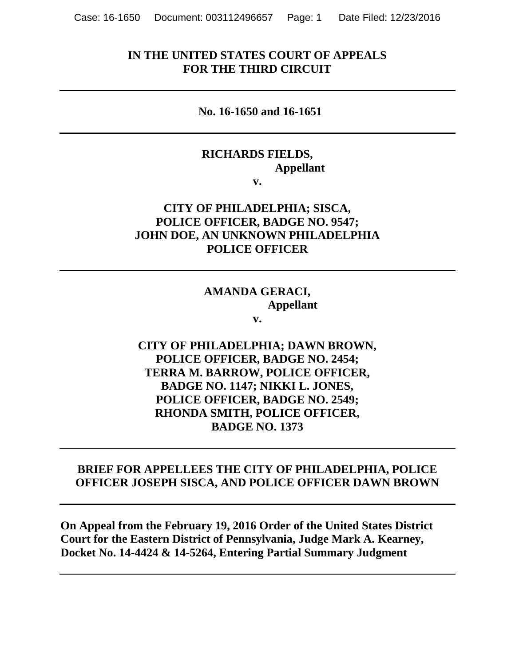## **IN THE UNITED STATES COURT OF APPEALS FOR THE THIRD CIRCUIT**

#### **No. 16-1650 and 16-1651**

#### **RICHARDS FIELDS, Appellant v.**

# **CITY OF PHILADELPHIA; SISCA, POLICE OFFICER, BADGE NO. 9547; JOHN DOE, AN UNKNOWN PHILADELPHIA POLICE OFFICER**

## **AMANDA GERACI, Appellant**

**v.**

# **CITY OF PHILADELPHIA; DAWN BROWN, POLICE OFFICER, BADGE NO. 2454; TERRA M. BARROW, POLICE OFFICER, BADGE NO. 1147; NIKKI L. JONES, POLICE OFFICER, BADGE NO. 2549; RHONDA SMITH, POLICE OFFICER, BADGE NO. 1373**

## **BRIEF FOR APPELLEES THE CITY OF PHILADELPHIA, POLICE OFFICER JOSEPH SISCA, AND POLICE OFFICER DAWN BROWN**

**On Appeal from the February 19, 2016 Order of the United States District Court for the Eastern District of Pennsylvania, Judge Mark A. Kearney, Docket No. 14-4424 & 14-5264, Entering Partial Summary Judgment**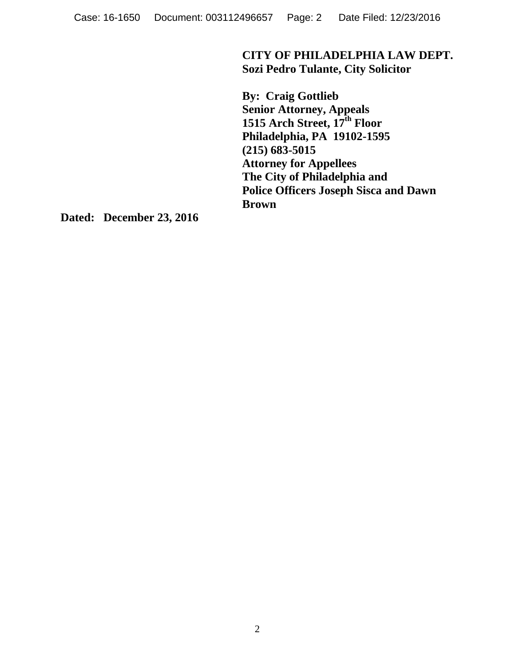**CITY OF PHILADELPHIA LAW DEPT. Sozi Pedro Tulante, City Solicitor**

**By: Craig Gottlieb Senior Attorney, Appeals 1515 Arch Street, 17th Floor Philadelphia, PA 19102-1595 (215) 683-5015 Attorney for Appellees The City of Philadelphia and Police Officers Joseph Sisca and Dawn Brown**

**Dated: December 23, 2016**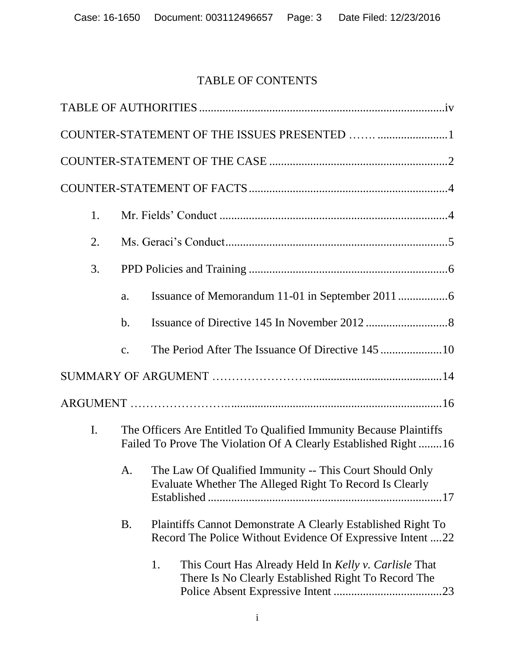# TABLE OF CONTENTS

| 1.             |               |                                                                                                                                      |  |  |  |
|----------------|---------------|--------------------------------------------------------------------------------------------------------------------------------------|--|--|--|
| 2.             |               |                                                                                                                                      |  |  |  |
| 3.             |               |                                                                                                                                      |  |  |  |
|                | a.            |                                                                                                                                      |  |  |  |
|                | $\mathbf b$ . |                                                                                                                                      |  |  |  |
|                | $C_{\bullet}$ |                                                                                                                                      |  |  |  |
|                |               |                                                                                                                                      |  |  |  |
|                |               |                                                                                                                                      |  |  |  |
| $\mathbf{I}$ . |               | The Officers Are Entitled To Qualified Immunity Because Plaintiffs<br>Failed To Prove The Violation Of A Clearly Established Right16 |  |  |  |
|                | A.            | The Law Of Qualified Immunity -- This Court Should Only<br>Evaluate Whether The Alleged Right To Record Is Clearly                   |  |  |  |
|                | <b>B.</b>     | Plaintiffs Cannot Demonstrate A Clearly Established Right To<br>Record The Police Without Evidence Of Expressive Intent 22           |  |  |  |
|                |               | 1.<br>This Court Has Already Held In Kelly v. Carlisle That<br>There Is No Clearly Established Right To Record The                   |  |  |  |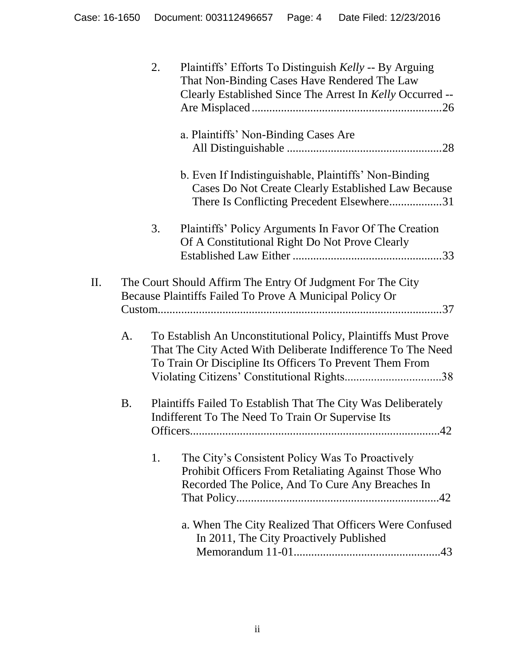|           | 2. | Plaintiffs' Efforts To Distinguish Kelly -- By Arguing<br>That Non-Binding Cases Have Rendered The Law<br>Clearly Established Since The Arrest In Kelly Occurred --                        |
|-----------|----|--------------------------------------------------------------------------------------------------------------------------------------------------------------------------------------------|
|           |    | a. Plaintiffs' Non-Binding Cases Are                                                                                                                                                       |
|           |    | b. Even If Indistinguishable, Plaintiffs' Non-Binding<br>Cases Do Not Create Clearly Established Law Because<br>There Is Conflicting Precedent Elsewhere31                                 |
|           | 3. | Plaintiffs' Policy Arguments In Favor Of The Creation<br>Of A Constitutional Right Do Not Prove Clearly                                                                                    |
| II.       |    | The Court Should Affirm The Entry Of Judgment For The City<br>Because Plaintiffs Failed To Prove A Municipal Policy Or                                                                     |
| A.        |    | To Establish An Unconstitutional Policy, Plaintiffs Must Prove<br>That The City Acted With Deliberate Indifference To The Need<br>To Train Or Discipline Its Officers To Prevent Them From |
| <b>B.</b> |    | Plaintiffs Failed To Establish That The City Was Deliberately<br>Indifferent To The Need To Train Or Supervise Its                                                                         |
|           | 1. | The City's Consistent Policy Was To Proactively<br>Prohibit Officers From Retaliating Against Those Who<br>Recorded The Police, And To Cure Any Breaches In                                |
|           |    | a. When The City Realized That Officers Were Confused<br>In 2011, The City Proactively Published                                                                                           |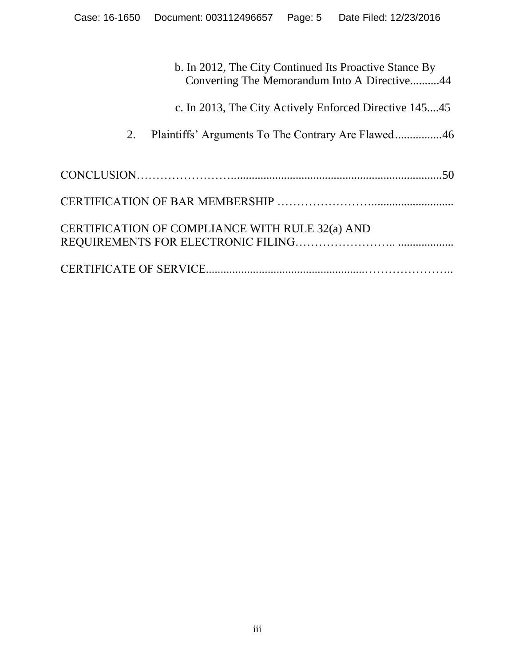|                                                 | b. In 2012, The City Continued Its Proactive Stance By<br>Converting The Memorandum Into A Directive44 |
|-------------------------------------------------|--------------------------------------------------------------------------------------------------------|
|                                                 | c. In 2013, The City Actively Enforced Directive 14545                                                 |
| 2.                                              |                                                                                                        |
|                                                 |                                                                                                        |
|                                                 |                                                                                                        |
| CERTIFICATION OF COMPLIANCE WITH RULE 32(a) AND |                                                                                                        |
|                                                 |                                                                                                        |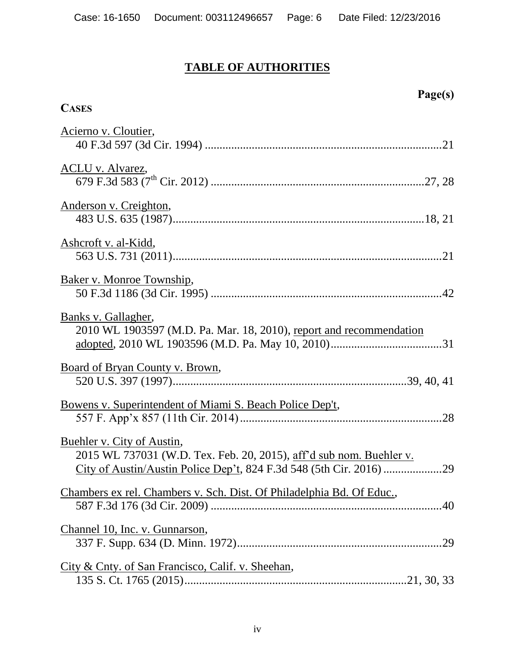# **TABLE OF AUTHORITIES**

**CASES**

**Page(s)**

| Acierno v. Cloutier,                                                                              |
|---------------------------------------------------------------------------------------------------|
|                                                                                                   |
| <u>ACLU v. Alvarez,</u>                                                                           |
|                                                                                                   |
| <u>Anderson v. Creighton,</u>                                                                     |
| Ashcroft v. al-Kidd,                                                                              |
|                                                                                                   |
| Baker v. Monroe Township,                                                                         |
|                                                                                                   |
| Banks v. Gallagher,                                                                               |
| 2010 WL 1903597 (M.D. Pa. Mar. 18, 2010), report and recommendation                               |
| Board of Bryan County v. Brown,                                                                   |
|                                                                                                   |
| <u>Bowens v. Superintendent of Miami S. Beach Police Dep't,</u>                                   |
|                                                                                                   |
| Buehler v. City of Austin,<br>2015 WL 737031 (W.D. Tex. Feb. 20, 2015), aff'd sub nom. Buehler v. |
|                                                                                                   |
| <u>Chambers ex rel. Chambers v. Sch. Dist. Of Philadelphia Bd. Of Educ.</u> ,                     |
|                                                                                                   |
| Channel 10, Inc. v. Gunnarson,                                                                    |
|                                                                                                   |
| City & Cnty. of San Francisco, Calif. v. Sheehan,                                                 |
|                                                                                                   |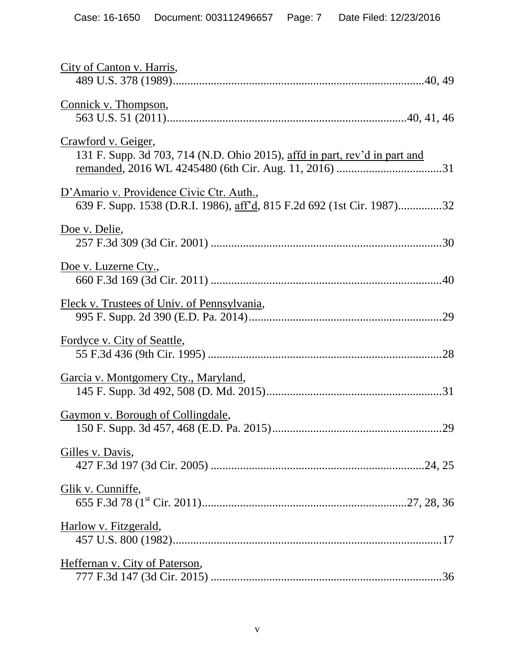| City of Canton v. Harris,                                                                                          |
|--------------------------------------------------------------------------------------------------------------------|
| Connick v. Thompson,                                                                                               |
| Crawford v. Geiger,<br>131 F. Supp. 3d 703, 714 (N.D. Ohio 2015), affd in part, rev'd in part and                  |
| D'Amario v. Providence Civic Ctr. Auth.,<br>639 F. Supp. 1538 (D.R.I. 1986), aff'd, 815 F.2d 692 (1st Cir. 1987)32 |
| Doe v. Delie,                                                                                                      |
| Doe v. Luzerne Cty.,                                                                                               |
| Fleck v. Trustees of Univ. of Pennsylvania,                                                                        |
| <u>Fordyce v. City of Seattle,</u>                                                                                 |
| <u>Garcia v. Montgomery Cty., Maryland,</u>                                                                        |
| Gaymon v. Borough of Collingdale,                                                                                  |
| Gilles v. Davis,                                                                                                   |
| Glik v. Cunniffe,                                                                                                  |
| Harlow v. Fitzgerald,                                                                                              |
| Heffernan v. City of Paterson,                                                                                     |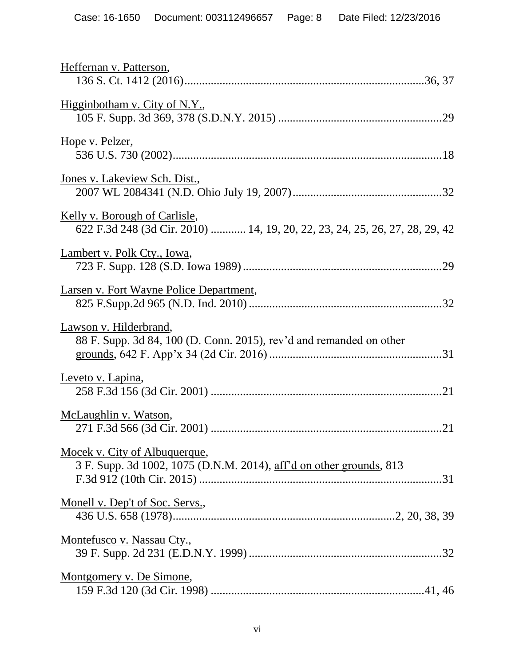| Heffernan v. Patterson,                                                                                             |
|---------------------------------------------------------------------------------------------------------------------|
| Higginbotham v. City of N.Y.,                                                                                       |
| Hope v. Pelzer,                                                                                                     |
| Jones v. Lakeview Sch. Dist.,                                                                                       |
| <u>Kelly v. Borough of Carlisle,</u><br>622 F.3d 248 (3d Cir. 2010)  14, 19, 20, 22, 23, 24, 25, 26, 27, 28, 29, 42 |
| Lambert v. Polk Cty., Iowa,                                                                                         |
| Larsen v. Fort Wayne Police Department,                                                                             |
| Lawson v. Hilderbrand,<br>88 F. Supp. 3d 84, 100 (D. Conn. 2015), rev'd and remanded on other                       |
| Leveto v. Lapina,                                                                                                   |
| McLaughlin v. Watson,                                                                                               |
| Mocek v. City of Albuquerque,<br>3 F. Supp. 3d 1002, 1075 (D.N.M. 2014), aff'd on other grounds, 813                |
| Monell v. Dep't of Soc. Servs.,                                                                                     |
| Montefusco v. Nassau Cty.,                                                                                          |
| Montgomery v. De Simone,                                                                                            |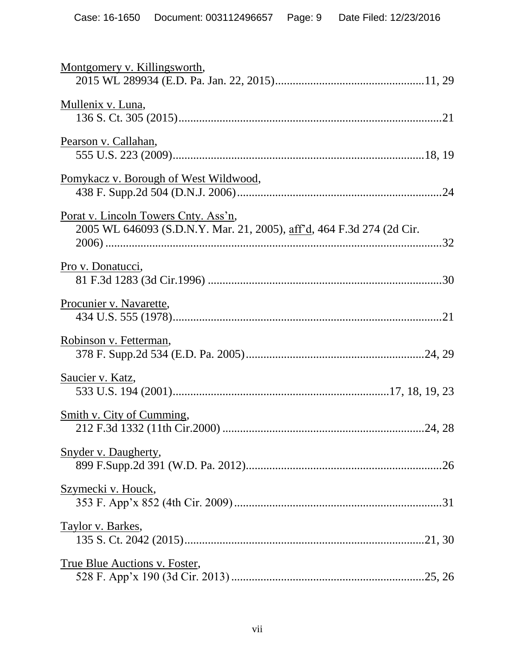| Montgomery v. Killingsworth,                                                                                  |
|---------------------------------------------------------------------------------------------------------------|
| Mullenix v. Luna,                                                                                             |
| Pearson v. Callahan,                                                                                          |
| <u>Pomykacz v. Borough of West Wildwood,</u>                                                                  |
| Porat v. Lincoln Towers Cnty. Ass'n,<br>2005 WL 646093 (S.D.N.Y. Mar. 21, 2005), aff'd, 464 F.3d 274 (2d Cir. |
| <u>Pro v. Donatucci</u> ,                                                                                     |
| Procunier v. Navarette,                                                                                       |
| Robinson v. Fetterman,                                                                                        |
| Saucier v. Katz,                                                                                              |
| <u>Smith v. City of Cumming,</u>                                                                              |
| <b>Snyder v. Daugherty,</b>                                                                                   |
| <u>Szymecki v. Houck,</u>                                                                                     |
| Taylor v. Barkes,                                                                                             |
| True Blue Auctions v. Foster,                                                                                 |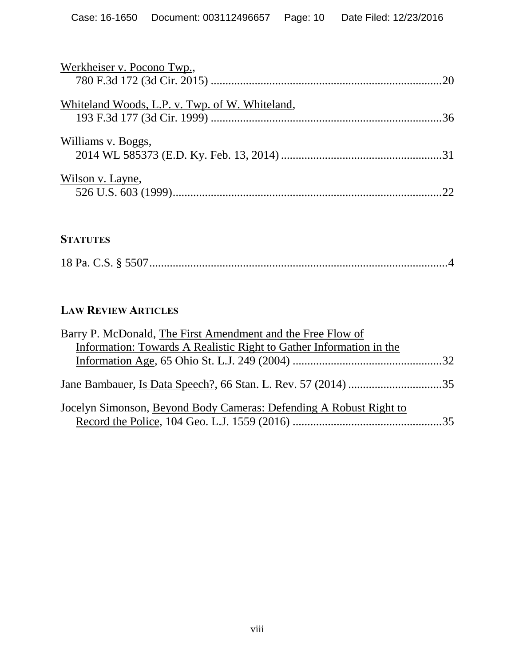| Werkheiser v. Pocono Twp.,                     |  |
|------------------------------------------------|--|
|                                                |  |
| Whiteland Woods, L.P. v. Twp. of W. Whiteland, |  |
| Williams v. Boggs,                             |  |
| Wilson v. Layne,                               |  |

# **STATUTES**

|--|--|--|--|--|--|--|--|

# **LAW REVIEW ARTICLES**

| Barry P. McDonald, The First Amendment and the Free Flow of         |  |
|---------------------------------------------------------------------|--|
| Information: Towards A Realistic Right to Gather Information in the |  |
|                                                                     |  |
|                                                                     |  |
| Jocelyn Simonson, Beyond Body Cameras: Defending A Robust Right to  |  |
|                                                                     |  |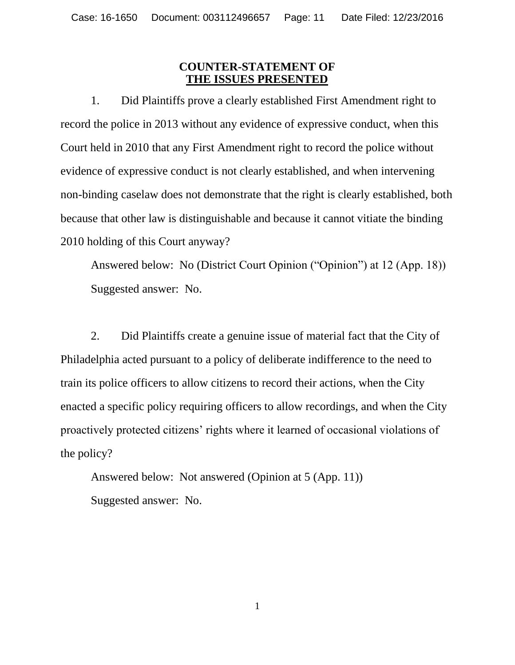## **COUNTER-STATEMENT OF THE ISSUES PRESENTED**

1. Did Plaintiffs prove a clearly established First Amendment right to record the police in 2013 without any evidence of expressive conduct, when this Court held in 2010 that any First Amendment right to record the police without evidence of expressive conduct is not clearly established, and when intervening non-binding caselaw does not demonstrate that the right is clearly established, both because that other law is distinguishable and because it cannot vitiate the binding 2010 holding of this Court anyway?

Answered below: No (District Court Opinion ("Opinion") at 12 (App. 18)) Suggested answer: No.

2. Did Plaintiffs create a genuine issue of material fact that the City of Philadelphia acted pursuant to a policy of deliberate indifference to the need to train its police officers to allow citizens to record their actions, when the City enacted a specific policy requiring officers to allow recordings, and when the City proactively protected citizens" rights where it learned of occasional violations of the policy?

Answered below: Not answered (Opinion at 5 (App. 11)) Suggested answer: No.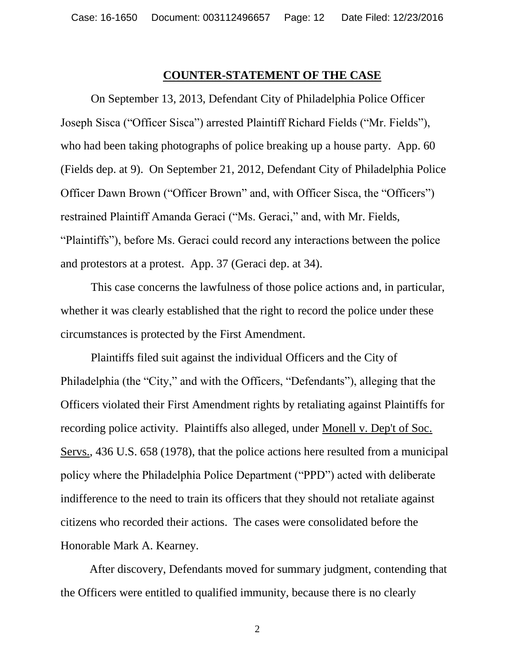#### **COUNTER-STATEMENT OF THE CASE**

On September 13, 2013, Defendant City of Philadelphia Police Officer Joseph Sisca ("Officer Sisca") arrested Plaintiff Richard Fields ("Mr. Fields"), who had been taking photographs of police breaking up a house party. App. 60 (Fields dep. at 9). On September 21, 2012, Defendant City of Philadelphia Police Officer Dawn Brown ("Officer Brown" and, with Officer Sisca, the "Officers") restrained Plaintiff Amanda Geraci ("Ms. Geraci," and, with Mr. Fields, "Plaintiffs"), before Ms. Geraci could record any interactions between the police and protestors at a protest. App. 37 (Geraci dep. at 34).

This case concerns the lawfulness of those police actions and, in particular, whether it was clearly established that the right to record the police under these circumstances is protected by the First Amendment.

<span id="page-11-0"></span>Plaintiffs filed suit against the individual Officers and the City of Philadelphia (the "City," and with the Officers, "Defendants"), alleging that the Officers violated their First Amendment rights by retaliating against Plaintiffs for recording police activity. Plaintiffs also alleged, under Monell v. Dep't of Soc. Servs., 436 U.S. 658 (1978), that the police actions here resulted from a municipal policy where the Philadelphia Police Department ("PPD") acted with deliberate indifference to the need to train its officers that they should not retaliate against citizens who recorded their actions. The cases were consolidated before the Honorable Mark A. Kearney.

After discovery, Defendants moved for summary judgment, contending that the Officers were entitled to qualified immunity, because there is no clearly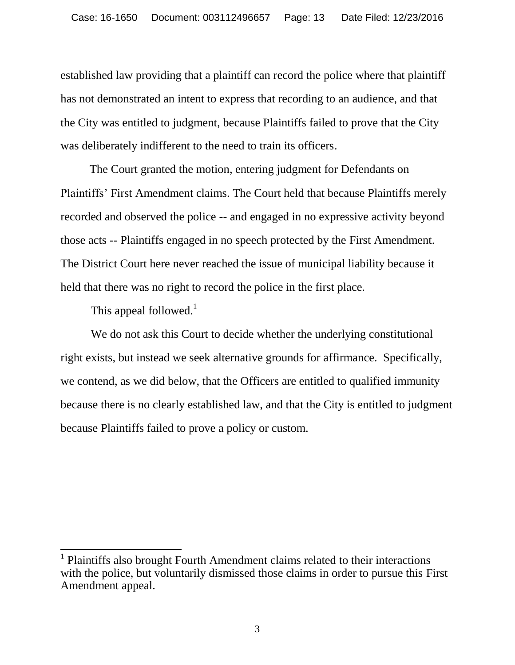established law providing that a plaintiff can record the police where that plaintiff has not demonstrated an intent to express that recording to an audience, and that the City was entitled to judgment, because Plaintiffs failed to prove that the City was deliberately indifferent to the need to train its officers.

The Court granted the motion, entering judgment for Defendants on Plaintiffs" First Amendment claims. The Court held that because Plaintiffs merely recorded and observed the police -- and engaged in no expressive activity beyond those acts -- Plaintiffs engaged in no speech protected by the First Amendment. The District Court here never reached the issue of municipal liability because it held that there was no right to record the police in the first place.

This appeal followed.<sup>1</sup>

 $\overline{a}$ 

We do not ask this Court to decide whether the underlying constitutional right exists, but instead we seek alternative grounds for affirmance. Specifically, we contend, as we did below, that the Officers are entitled to qualified immunity because there is no clearly established law, and that the City is entitled to judgment because Plaintiffs failed to prove a policy or custom.

<sup>1</sup> Plaintiffs also brought Fourth Amendment claims related to their interactions with the police, but voluntarily dismissed those claims in order to pursue this First Amendment appeal.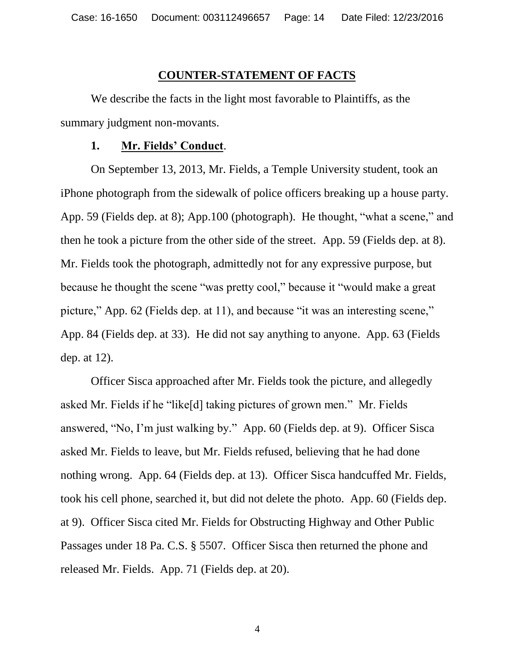#### **COUNTER-STATEMENT OF FACTS**

We describe the facts in the light most favorable to Plaintiffs, as the summary judgment non-movants.

#### **1. Mr. Fields' Conduct**.

On September 13, 2013, Mr. Fields, a Temple University student, took an iPhone photograph from the sidewalk of police officers breaking up a house party. App. 59 (Fields dep. at 8); App.100 (photograph). He thought, "what a scene," and then he took a picture from the other side of the street. App. 59 (Fields dep. at 8). Mr. Fields took the photograph, admittedly not for any expressive purpose, but because he thought the scene "was pretty cool," because it "would make a great picture," App. 62 (Fields dep. at 11), and because "it was an interesting scene," App. 84 (Fields dep. at 33). He did not say anything to anyone. App. 63 (Fields dep. at 12).

<span id="page-13-0"></span>Officer Sisca approached after Mr. Fields took the picture, and allegedly asked Mr. Fields if he "like[d] taking pictures of grown men." Mr. Fields answered, "No, I"m just walking by." App. 60 (Fields dep. at 9). Officer Sisca asked Mr. Fields to leave, but Mr. Fields refused, believing that he had done nothing wrong. App. 64 (Fields dep. at 13). Officer Sisca handcuffed Mr. Fields, took his cell phone, searched it, but did not delete the photo. App. 60 (Fields dep. at 9). Officer Sisca cited Mr. Fields for Obstructing Highway and Other Public Passages under 18 Pa. C.S. § 5507. Officer Sisca then returned the phone and released Mr. Fields. App. 71 (Fields dep. at 20).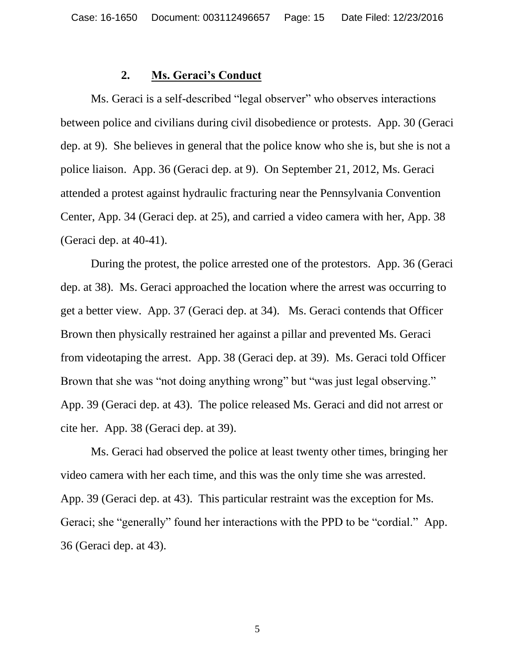#### **2. Ms. Geraci's Conduct**

Ms. Geraci is a self-described "legal observer" who observes interactions between police and civilians during civil disobedience or protests. App. 30 (Geraci dep. at 9). She believes in general that the police know who she is, but she is not a police liaison. App. 36 (Geraci dep. at 9). On September 21, 2012, Ms. Geraci attended a protest against hydraulic fracturing near the Pennsylvania Convention Center, App. 34 (Geraci dep. at 25), and carried a video camera with her, App. 38 (Geraci dep. at 40-41).

During the protest, the police arrested one of the protestors. App. 36 (Geraci dep. at 38). Ms. Geraci approached the location where the arrest was occurring to get a better view. App. 37 (Geraci dep. at 34). Ms. Geraci contends that Officer Brown then physically restrained her against a pillar and prevented Ms. Geraci from videotaping the arrest. App. 38 (Geraci dep. at 39). Ms. Geraci told Officer Brown that she was "not doing anything wrong" but "was just legal observing." App. 39 (Geraci dep. at 43). The police released Ms. Geraci and did not arrest or cite her. App. 38 (Geraci dep. at 39).

Ms. Geraci had observed the police at least twenty other times, bringing her video camera with her each time, and this was the only time she was arrested. App. 39 (Geraci dep. at 43). This particular restraint was the exception for Ms. Geraci; she "generally" found her interactions with the PPD to be "cordial." App. 36 (Geraci dep. at 43).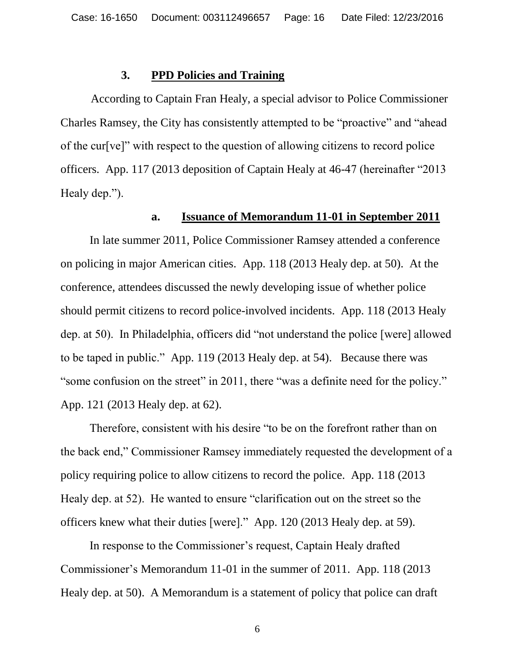#### **3. PPD Policies and Training**

According to Captain Fran Healy, a special advisor to Police Commissioner Charles Ramsey, the City has consistently attempted to be "proactive" and "ahead of the cur[ve]" with respect to the question of allowing citizens to record police officers. App. 117 (2013 deposition of Captain Healy at 46-47 (hereinafter "2013 Healy dep.").

#### **a. Issuance of Memorandum 11-01 in September 2011**

In late summer 2011, Police Commissioner Ramsey attended a conference on policing in major American cities. App. 118 (2013 Healy dep. at 50). At the conference, attendees discussed the newly developing issue of whether police should permit citizens to record police-involved incidents. App. 118 (2013 Healy dep. at 50). In Philadelphia, officers did "not understand the police [were] allowed to be taped in public." App. 119 (2013 Healy dep. at 54). Because there was "some confusion on the street" in 2011, there "was a definite need for the policy." App. 121 (2013 Healy dep. at 62).

Therefore, consistent with his desire "to be on the forefront rather than on the back end," Commissioner Ramsey immediately requested the development of a policy requiring police to allow citizens to record the police. App. 118 (2013 Healy dep. at 52). He wanted to ensure "clarification out on the street so the officers knew what their duties [were]." App. 120 (2013 Healy dep. at 59).

In response to the Commissioner's request, Captain Healy drafted Commissioner"s Memorandum 11-01 in the summer of 2011. App. 118 (2013 Healy dep. at 50). A Memorandum is a statement of policy that police can draft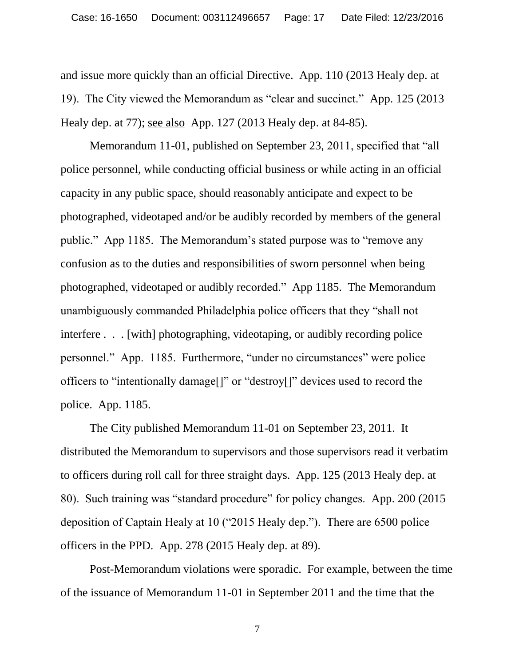and issue more quickly than an official Directive. App. 110 (2013 Healy dep. at 19). The City viewed the Memorandum as "clear and succinct." App. 125 (2013 Healy dep. at 77); see also App. 127 (2013 Healy dep. at 84-85).

Memorandum 11-01, published on September 23, 2011, specified that "all police personnel, while conducting official business or while acting in an official capacity in any public space, should reasonably anticipate and expect to be photographed, videotaped and/or be audibly recorded by members of the general public." App 1185. The Memorandum"s stated purpose was to "remove any confusion as to the duties and responsibilities of sworn personnel when being photographed, videotaped or audibly recorded." App 1185. The Memorandum unambiguously commanded Philadelphia police officers that they "shall not interfere . . . [with] photographing, videotaping, or audibly recording police personnel." App. 1185. Furthermore, "under no circumstances" were police officers to "intentionally damage[]" or "destroy[]" devices used to record the police. App. 1185.

The City published Memorandum 11-01 on September 23, 2011. It distributed the Memorandum to supervisors and those supervisors read it verbatim to officers during roll call for three straight days. App. 125 (2013 Healy dep. at 80). Such training was "standard procedure" for policy changes. App. 200 (2015 deposition of Captain Healy at 10 ("2015 Healy dep."). There are 6500 police officers in the PPD. App. 278 (2015 Healy dep. at 89).

Post-Memorandum violations were sporadic. For example, between the time of the issuance of Memorandum 11-01 in September 2011 and the time that the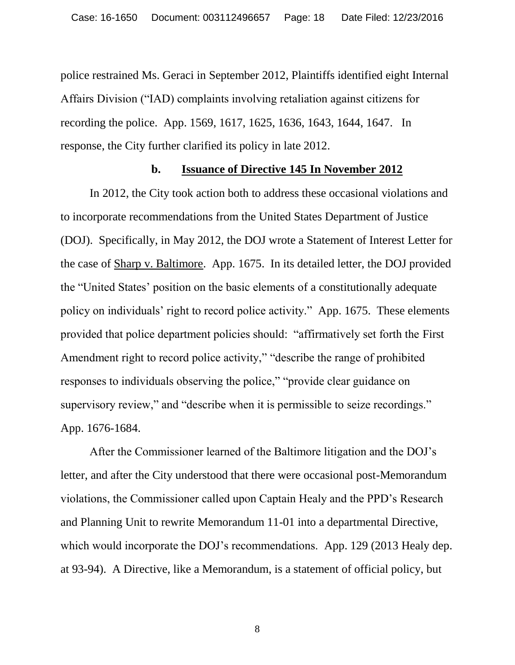police restrained Ms. Geraci in September 2012, Plaintiffs identified eight Internal Affairs Division ("IAD) complaints involving retaliation against citizens for recording the police. App. 1569, 1617, 1625, 1636, 1643, 1644, 1647. In response, the City further clarified its policy in late 2012.

#### **b. Issuance of Directive 145 In November 2012**

In 2012, the City took action both to address these occasional violations and to incorporate recommendations from the United States Department of Justice (DOJ). Specifically, in May 2012, the DOJ wrote a Statement of Interest Letter for the case of Sharp v. Baltimore. App. 1675. In its detailed letter, the DOJ provided the "United States" position on the basic elements of a constitutionally adequate policy on individuals" right to record police activity." App. 1675. These elements provided that police department policies should: "affirmatively set forth the First Amendment right to record police activity," "describe the range of prohibited responses to individuals observing the police," "provide clear guidance on supervisory review," and "describe when it is permissible to seize recordings." App. 1676-1684.

After the Commissioner learned of the Baltimore litigation and the DOJ"s letter, and after the City understood that there were occasional post-Memorandum violations, the Commissioner called upon Captain Healy and the PPD"s Research and Planning Unit to rewrite Memorandum 11-01 into a departmental Directive, which would incorporate the DOJ's recommendations. App. 129 (2013 Healy dep. at 93-94). A Directive, like a Memorandum, is a statement of official policy, but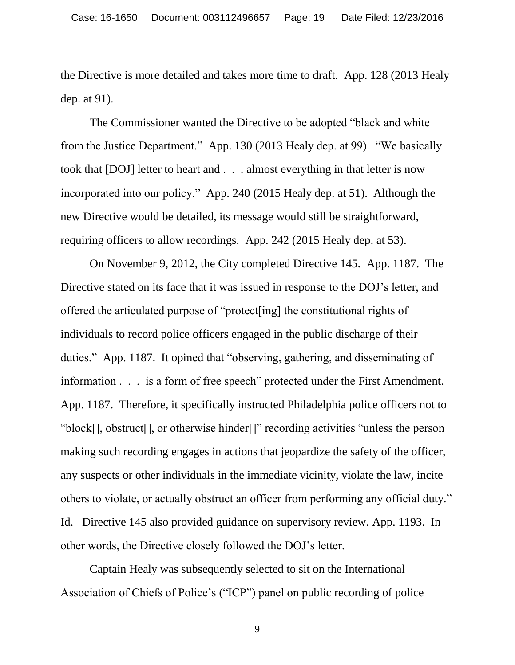the Directive is more detailed and takes more time to draft. App. 128 (2013 Healy dep. at 91).

The Commissioner wanted the Directive to be adopted "black and white from the Justice Department." App. 130 (2013 Healy dep. at 99). "We basically took that [DOJ] letter to heart and . . . almost everything in that letter is now incorporated into our policy." App. 240 (2015 Healy dep. at 51). Although the new Directive would be detailed, its message would still be straightforward, requiring officers to allow recordings. App. 242 (2015 Healy dep. at 53).

On November 9, 2012, the City completed Directive 145. App. 1187. The Directive stated on its face that it was issued in response to the DOJ"s letter, and offered the articulated purpose of "protect[ing] the constitutional rights of individuals to record police officers engaged in the public discharge of their duties." App. 1187. It opined that "observing, gathering, and disseminating of information . . . is a form of free speech" protected under the First Amendment. App. 1187. Therefore, it specifically instructed Philadelphia police officers not to "block[], obstruct[], or otherwise hinder[]" recording activities "unless the person making such recording engages in actions that jeopardize the safety of the officer, any suspects or other individuals in the immediate vicinity, violate the law, incite others to violate, or actually obstruct an officer from performing any official duty." Id. Directive 145 also provided guidance on supervisory review. App. 1193. In other words, the Directive closely followed the DOJ"s letter.

Captain Healy was subsequently selected to sit on the International Association of Chiefs of Police"s ("ICP") panel on public recording of police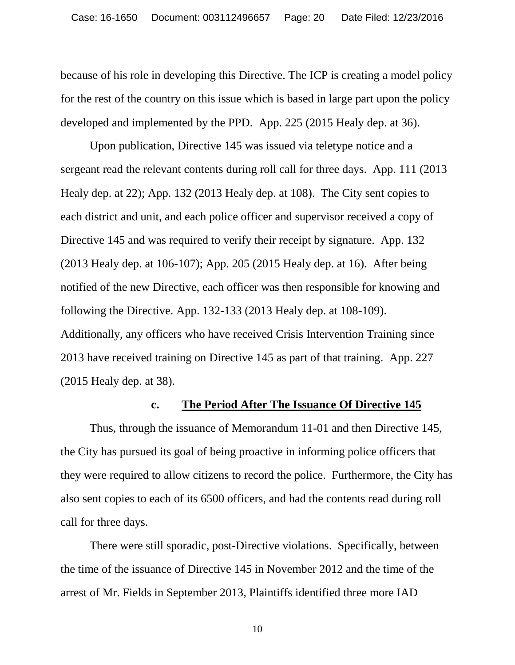because of his role in developing this Directive. The ICP is creating a model policy for the rest of the country on this issue which is based in large part upon the policy developed and implemented by the PPD. App. 225 (2015 Healy dep. at 36).

Upon publication, Directive 145 was issued via teletype notice and a sergeant read the relevant contents during roll call for three days. App. 111 (2013 Healy dep. at 22); App. 132 (2013 Healy dep. at 108). The City sent copies to each district and unit, and each police officer and supervisor received a copy of Directive 145 and was required to verify their receipt by signature. App. 132 (2013 Healy dep. at 106-107); App. 205 (2015 Healy dep. at 16). After being notified of the new Directive, each officer was then responsible for knowing and following the Directive. App. 132-133 (2013 Healy dep. at 108-109). Additionally, any officers who have received Crisis Intervention Training since 2013 have received training on Directive 145 as part of that training. App. 227 (2015 Healy dep. at 38).

#### **c. The Period After The Issuance Of Directive 145**

Thus, through the issuance of Memorandum 11-01 and then Directive 145, the City has pursued its goal of being proactive in informing police officers that they were required to allow citizens to record the police. Furthermore, the City has also sent copies to each of its 6500 officers, and had the contents read during roll call for three days.

There were still sporadic, post-Directive violations. Specifically, between the time of the issuance of Directive 145 in November 2012 and the time of the arrest of Mr. Fields in September 2013, Plaintiffs identified three more IAD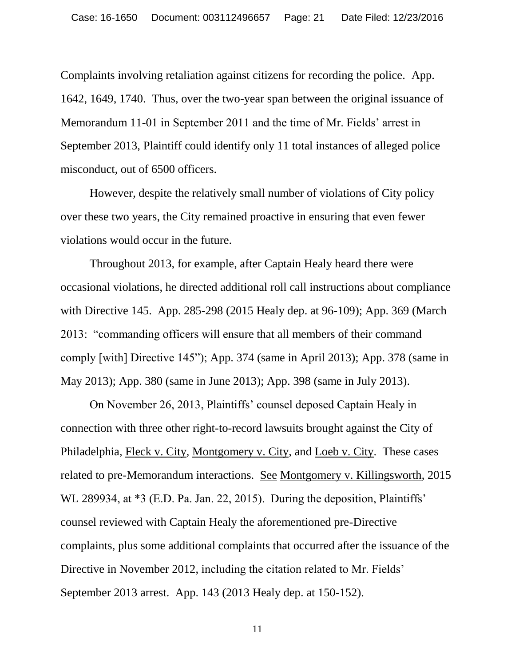Complaints involving retaliation against citizens for recording the police. App. 1642, 1649, 1740. Thus, over the two-year span between the original issuance of Memorandum 11-01 in September 2011 and the time of Mr. Fields' arrest in September 2013, Plaintiff could identify only 11 total instances of alleged police misconduct, out of 6500 officers.

However, despite the relatively small number of violations of City policy over these two years, the City remained proactive in ensuring that even fewer violations would occur in the future.

Throughout 2013, for example, after Captain Healy heard there were occasional violations, he directed additional roll call instructions about compliance with Directive 145. App. 285-298 (2015 Healy dep. at 96-109); App. 369 (March 2013: "commanding officers will ensure that all members of their command comply [with] Directive 145"); App. 374 (same in April 2013); App. 378 (same in May 2013); App. 380 (same in June 2013); App. 398 (same in July 2013).

<span id="page-20-0"></span>On November 26, 2013, Plaintiffs" counsel deposed Captain Healy in connection with three other right-to-record lawsuits brought against the City of Philadelphia, Fleck v. City, Montgomery v. City, and Loeb v. City. These cases related to pre-Memorandum interactions. See Montgomery v. Killingsworth, 2015 WL 289934, at  $*3$  (E.D. Pa. Jan. 22, 2015). During the deposition, Plaintiffs' counsel reviewed with Captain Healy the aforementioned pre-Directive complaints, plus some additional complaints that occurred after the issuance of the Directive in November 2012, including the citation related to Mr. Fields' September 2013 arrest. App. 143 (2013 Healy dep. at 150-152).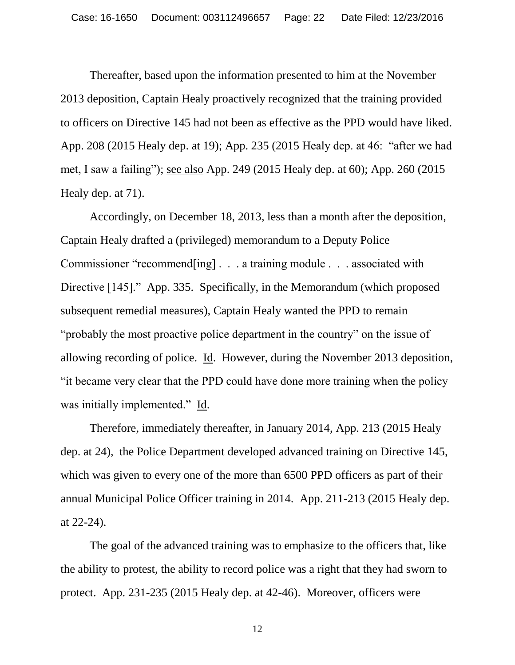Thereafter, based upon the information presented to him at the November 2013 deposition, Captain Healy proactively recognized that the training provided to officers on Directive 145 had not been as effective as the PPD would have liked. App. 208 (2015 Healy dep. at 19); App. 235 (2015 Healy dep. at 46: "after we had met, I saw a failing"); see also App. 249 (2015 Healy dep. at 60); App. 260 (2015 Healy dep. at 71).

Accordingly, on December 18, 2013, less than a month after the deposition, Captain Healy drafted a (privileged) memorandum to a Deputy Police Commissioner "recommend[ing] . . . a training module . . . associated with Directive [145]." App. 335. Specifically, in the Memorandum (which proposed subsequent remedial measures), Captain Healy wanted the PPD to remain "probably the most proactive police department in the country" on the issue of allowing recording of police. Id. However, during the November 2013 deposition, "it became very clear that the PPD could have done more training when the policy was initially implemented." Id.

Therefore, immediately thereafter, in January 2014, App. 213 (2015 Healy dep. at 24), the Police Department developed advanced training on Directive 145, which was given to every one of the more than 6500 PPD officers as part of their annual Municipal Police Officer training in 2014. App. 211-213 (2015 Healy dep. at 22-24).

The goal of the advanced training was to emphasize to the officers that, like the ability to protest, the ability to record police was a right that they had sworn to protect. App. 231-235 (2015 Healy dep. at 42-46). Moreover, officers were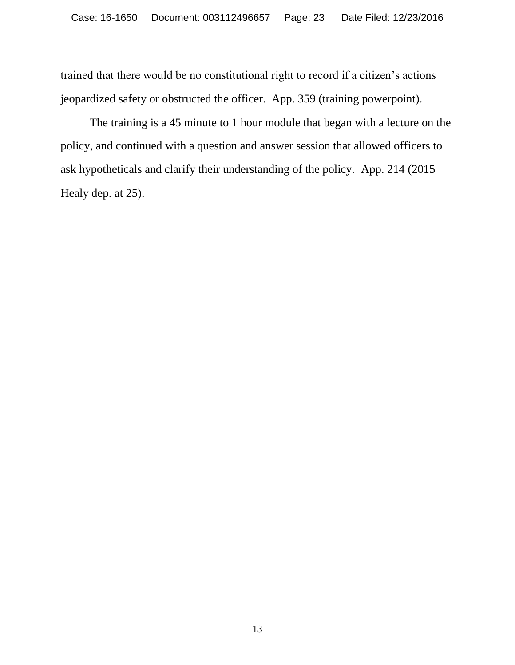trained that there would be no constitutional right to record if a citizen"s actions jeopardized safety or obstructed the officer. App. 359 (training powerpoint).

The training is a 45 minute to 1 hour module that began with a lecture on the policy, and continued with a question and answer session that allowed officers to ask hypotheticals and clarify their understanding of the policy. App. 214 (2015 Healy dep. at 25).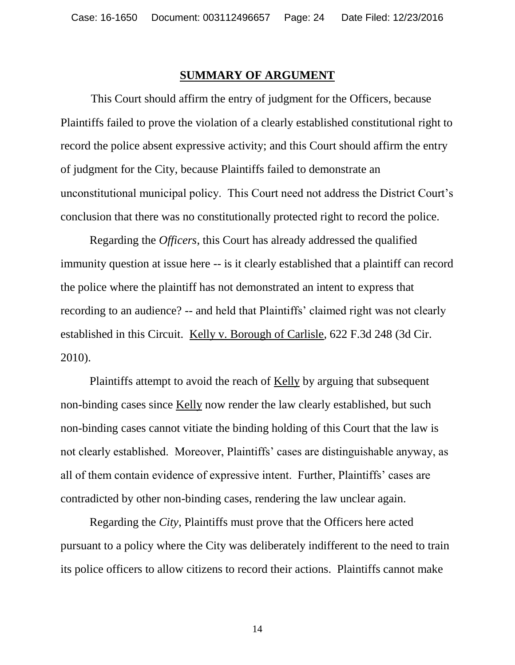#### **SUMMARY OF ARGUMENT**

This Court should affirm the entry of judgment for the Officers, because Plaintiffs failed to prove the violation of a clearly established constitutional right to record the police absent expressive activity; and this Court should affirm the entry of judgment for the City, because Plaintiffs failed to demonstrate an unconstitutional municipal policy. This Court need not address the District Court"s conclusion that there was no constitutionally protected right to record the police.

Regarding the *Officers*, this Court has already addressed the qualified immunity question at issue here -- is it clearly established that a plaintiff can record the police where the plaintiff has not demonstrated an intent to express that recording to an audience? -- and held that Plaintiffs' claimed right was not clearly established in this Circuit. Kelly v. Borough of Carlisle, 622 F.3d 248 (3d Cir. 2010).

<span id="page-23-0"></span>Plaintiffs attempt to avoid the reach of Kelly by arguing that subsequent non-binding cases since Kelly now render the law clearly established, but such non-binding cases cannot vitiate the binding holding of this Court that the law is not clearly established. Moreover, Plaintiffs' cases are distinguishable anyway, as all of them contain evidence of expressive intent. Further, Plaintiffs" cases are contradicted by other non-binding cases, rendering the law unclear again.

Regarding the *City*, Plaintiffs must prove that the Officers here acted pursuant to a policy where the City was deliberately indifferent to the need to train its police officers to allow citizens to record their actions. Plaintiffs cannot make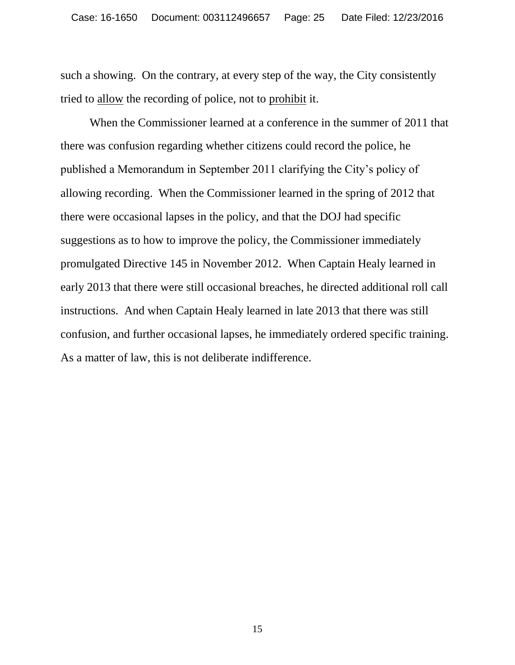such a showing. On the contrary, at every step of the way, the City consistently tried to allow the recording of police, not to prohibit it.

When the Commissioner learned at a conference in the summer of 2011 that there was confusion regarding whether citizens could record the police, he published a Memorandum in September 2011 clarifying the City"s policy of allowing recording. When the Commissioner learned in the spring of 2012 that there were occasional lapses in the policy, and that the DOJ had specific suggestions as to how to improve the policy, the Commissioner immediately promulgated Directive 145 in November 2012. When Captain Healy learned in early 2013 that there were still occasional breaches, he directed additional roll call instructions. And when Captain Healy learned in late 2013 that there was still confusion, and further occasional lapses, he immediately ordered specific training. As a matter of law, this is not deliberate indifference.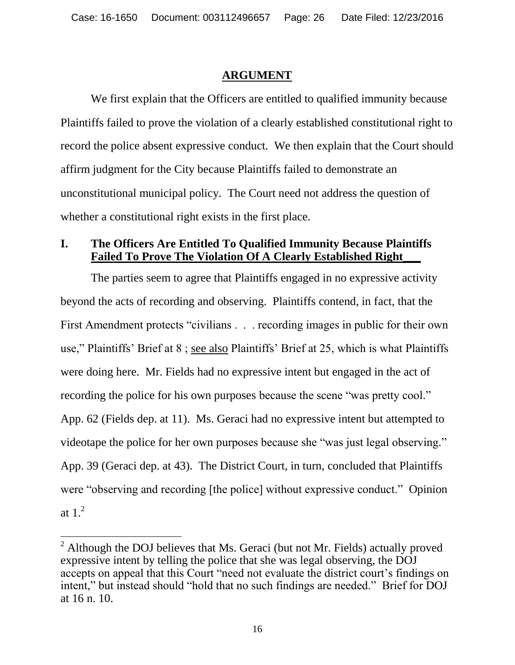# **ARGUMENT**

We first explain that the Officers are entitled to qualified immunity because Plaintiffs failed to prove the violation of a clearly established constitutional right to record the police absent expressive conduct. We then explain that the Court should affirm judgment for the City because Plaintiffs failed to demonstrate an unconstitutional municipal policy. The Court need not address the question of whether a constitutional right exists in the first place.

# **I. The Officers Are Entitled To Qualified Immunity Because Plaintiffs Failed To Prove The Violation Of A Clearly Established Right\_\_\_**

The parties seem to agree that Plaintiffs engaged in no expressive activity beyond the acts of recording and observing. Plaintiffs contend, in fact, that the First Amendment protects "civilians . . . recording images in public for their own use," Plaintiffs" Brief at 8 ; see also Plaintiffs" Brief at 25, which is what Plaintiffs were doing here. Mr. Fields had no expressive intent but engaged in the act of recording the police for his own purposes because the scene "was pretty cool." App. 62 (Fields dep. at 11). Ms. Geraci had no expressive intent but attempted to videotape the police for her own purposes because she "was just legal observing." App. 39 (Geraci dep. at 43). The District Court, in turn, concluded that Plaintiffs were "observing and recording [the police] without expressive conduct." Opinion at  $1<sup>2</sup>$ 

 $\overline{a}$ 

 $2$  Although the DOJ believes that Ms. Geraci (but not Mr. Fields) actually proved expressive intent by telling the police that she was legal observing, the DOJ accepts on appeal that this Court "need not evaluate the district court's findings on intent," but instead should "hold that no such findings are needed." Brief for DOJ at 16 n. 10.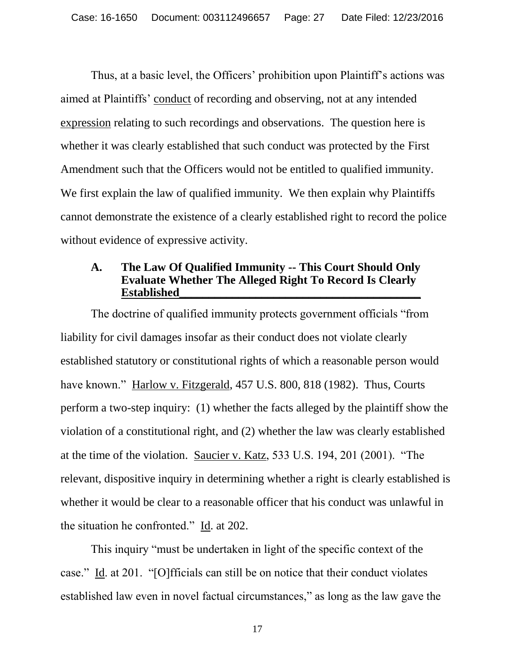Thus, at a basic level, the Officers' prohibition upon Plaintiff's actions was aimed at Plaintiffs" conduct of recording and observing, not at any intended expression relating to such recordings and observations. The question here is whether it was clearly established that such conduct was protected by the First Amendment such that the Officers would not be entitled to qualified immunity. We first explain the law of qualified immunity. We then explain why Plaintiffs cannot demonstrate the existence of a clearly established right to record the police without evidence of expressive activity.

## **A. The Law Of Qualified Immunity -- This Court Should Only Evaluate Whether The Alleged Right To Record Is Clearly Established\_\_\_\_\_\_\_\_\_\_\_\_\_\_\_\_\_\_\_\_\_\_\_\_\_\_\_\_\_\_\_\_\_\_\_\_\_\_\_\_\_**

<span id="page-26-0"></span>The doctrine of qualified immunity protects government officials "from liability for civil damages insofar as their conduct does not violate clearly established statutory or constitutional rights of which a reasonable person would have known." Harlow v. Fitzgerald, 457 U.S. 800, 818 (1982). Thus, Courts perform a two-step inquiry: (1) whether the facts alleged by the plaintiff show the violation of a constitutional right, and (2) whether the law was clearly established at the time of the violation. Saucier v. Katz, 533 U.S. 194, 201 (2001). "The relevant, dispositive inquiry in determining whether a right is clearly established is whether it would be clear to a reasonable officer that his conduct was unlawful in the situation he confronted." Id. at 202.

<span id="page-26-1"></span>This inquiry "must be undertaken in light of the specific context of the case." Id. at 201. "[O]fficials can still be on notice that their conduct violates established law even in novel factual circumstances," as long as the law gave the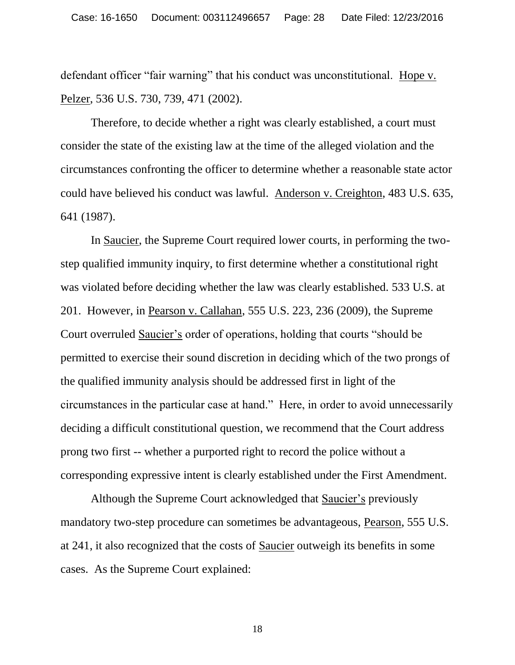<span id="page-27-1"></span>defendant officer "fair warning" that his conduct was unconstitutional. Hope v. Pelzer, 536 U.S. 730, 739, 471 (2002).

Therefore, to decide whether a right was clearly established, a court must consider the state of the existing law at the time of the alleged violation and the circumstances confronting the officer to determine whether a reasonable state actor could have believed his conduct was lawful. Anderson v. Creighton, 483 U.S. 635, 641 (1987).

<span id="page-27-3"></span><span id="page-27-2"></span><span id="page-27-0"></span>In Saucier, the Supreme Court required lower courts, in performing the twostep qualified immunity inquiry, to first determine whether a constitutional right was violated before deciding whether the law was clearly established. 533 U.S. at 201. However, in Pearson v. Callahan, 555 U.S. 223, 236 (2009), the Supreme Court overruled Saucier"s order of operations, holding that courts "should be permitted to exercise their sound discretion in deciding which of the two prongs of the qualified immunity analysis should be addressed first in light of the circumstances in the particular case at hand." Here, in order to avoid unnecessarily deciding a difficult constitutional question, we recommend that the Court address prong two first -- whether a purported right to record the police without a corresponding expressive intent is clearly established under the First Amendment.

Although the Supreme Court acknowledged that Saucier's previously mandatory two-step procedure can sometimes be advantageous, Pearson, 555 U.S. at 241, it also recognized that the costs of Saucier outweigh its benefits in some cases. As the Supreme Court explained: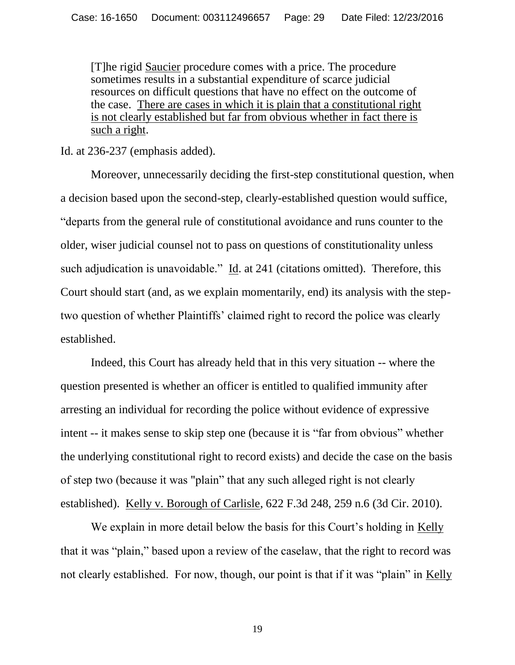<span id="page-28-2"></span>[T]he rigid Saucier procedure comes with a price. The procedure sometimes results in a substantial expenditure of scarce judicial resources on difficult questions that have no effect on the outcome of the case. There are cases in which it is plain that a constitutional right is not clearly established but far from obvious whether in fact there is such a right.

<span id="page-28-1"></span>Id. at 236-237 (emphasis added).

Moreover, unnecessarily deciding the first-step constitutional question, when a decision based upon the second-step, clearly-established question would suffice, "departs from the general rule of constitutional avoidance and runs counter to the older, wiser judicial counsel not to pass on questions of constitutionality unless such adjudication is unavoidable." Id. at 241 (citations omitted). Therefore, this Court should start (and, as we explain momentarily, end) its analysis with the steptwo question of whether Plaintiffs" claimed right to record the police was clearly established.

Indeed, this Court has already held that in this very situation -- where the question presented is whether an officer is entitled to qualified immunity after arresting an individual for recording the police without evidence of expressive intent -- it makes sense to skip step one (because it is "far from obvious" whether the underlying constitutional right to record exists) and decide the case on the basis of step two (because it was "plain" that any such alleged right is not clearly established). Kelly v. Borough of Carlisle, 622 F.3d 248, 259 n.6 (3d Cir. 2010).

<span id="page-28-0"></span>We explain in more detail below the basis for this Court's holding in Kelly that it was "plain," based upon a review of the caselaw, that the right to record was not clearly established. For now, though, our point is that if it was "plain" in Kelly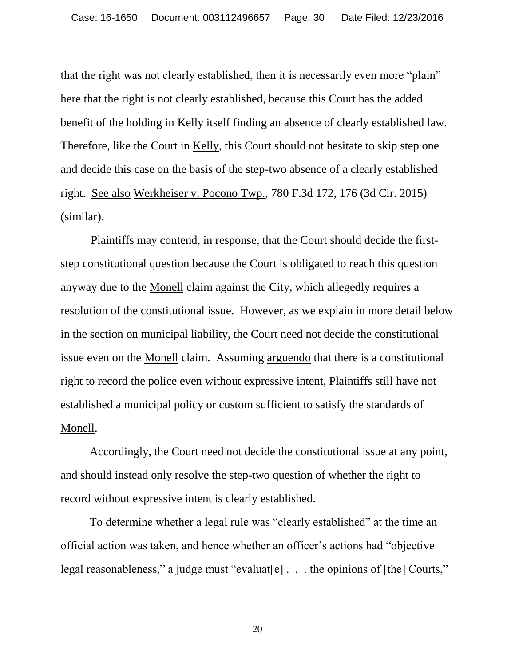<span id="page-29-0"></span>that the right was not clearly established, then it is necessarily even more "plain" here that the right is not clearly established, because this Court has the added benefit of the holding in Kelly itself finding an absence of clearly established law. Therefore, like the Court in Kelly, this Court should not hesitate to skip step one and decide this case on the basis of the step-two absence of a clearly established right. See also Werkheiser v. Pocono Twp., 780 F.3d 172, 176 (3d Cir. 2015) (similar).

<span id="page-29-2"></span><span id="page-29-1"></span>Plaintiffs may contend, in response, that the Court should decide the firststep constitutional question because the Court is obligated to reach this question anyway due to the Monell claim against the City, which allegedly requires a resolution of the constitutional issue. However, as we explain in more detail below in the section on municipal liability, the Court need not decide the constitutional issue even on the Monell claim. Assuming arguendo that there is a constitutional right to record the police even without expressive intent, Plaintiffs still have not established a municipal policy or custom sufficient to satisfy the standards of Monell.

Accordingly, the Court need not decide the constitutional issue at any point, and should instead only resolve the step-two question of whether the right to record without expressive intent is clearly established.

To determine whether a legal rule was "clearly established" at the time an official action was taken, and hence whether an officer"s actions had "objective legal reasonableness," a judge must "evaluat[e] . . . the opinions of [the] Courts,"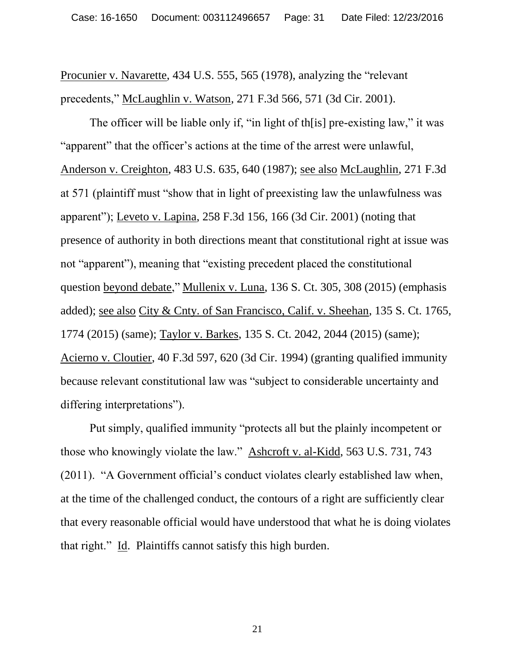<span id="page-30-7"></span><span id="page-30-5"></span>Procunier v. Navarette, 434 U.S. 555, 565 (1978), analyzing the "relevant precedents," McLaughlin v. Watson, 271 F.3d 566, 571 (3d Cir. 2001).

<span id="page-30-4"></span><span id="page-30-1"></span>The officer will be liable only if, "in light of th[is] pre-existing law," it was "apparent" that the officer"s actions at the time of the arrest were unlawful, Anderson v. Creighton, 483 U.S. 635, 640 (1987); see also McLaughlin, 271 F.3d at 571 (plaintiff must "show that in light of preexisting law the unlawfulness was apparent"); Leveto v. Lapina, 258 F.3d 156, 166 (3d Cir. 2001) (noting that presence of authority in both directions meant that constitutional right at issue was not "apparent"), meaning that "existing precedent placed the constitutional question beyond debate," Mullenix v. Luna, 136 S. Ct. 305, 308 (2015) (emphasis added); see also City & Cnty. of San Francisco, Calif. v. Sheehan, 135 S. Ct. 1765, 1774 (2015) (same); Taylor v. Barkes, 135 S. Ct. 2042, 2044 (2015) (same); Acierno v. Cloutier, 40 F.3d 597, 620 (3d Cir. 1994) (granting qualified immunity because relevant constitutional law was "subject to considerable uncertainty and differing interpretations").

<span id="page-30-8"></span><span id="page-30-6"></span><span id="page-30-3"></span><span id="page-30-2"></span><span id="page-30-0"></span>Put simply, qualified immunity "protects all but the plainly incompetent or those who knowingly violate the law." Ashcroft v. al-Kidd, 563 U.S. 731, 743 (2011). "A Government official"s conduct violates clearly established law when, at the time of the challenged conduct, the contours of a right are sufficiently clear that every reasonable official would have understood that what he is doing violates that right." Id. Plaintiffs cannot satisfy this high burden.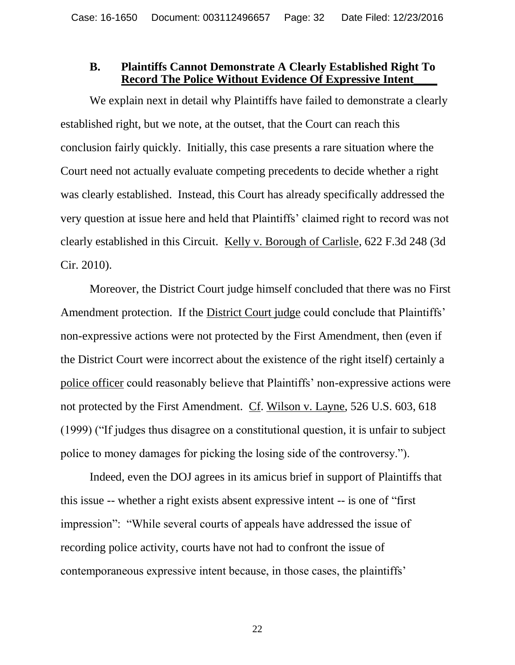## **B. Plaintiffs Cannot Demonstrate A Clearly Established Right To Record The Police Without Evidence Of Expressive Intent\_\_\_\_**

We explain next in detail why Plaintiffs have failed to demonstrate a clearly established right, but we note, at the outset, that the Court can reach this conclusion fairly quickly. Initially, this case presents a rare situation where the Court need not actually evaluate competing precedents to decide whether a right was clearly established. Instead, this Court has already specifically addressed the very question at issue here and held that Plaintiffs" claimed right to record was not clearly established in this Circuit. Kelly v. Borough of Carlisle, 622 F.3d 248 (3d Cir. 2010).

<span id="page-31-0"></span>Moreover, the District Court judge himself concluded that there was no First Amendment protection. If the District Court judge could conclude that Plaintiffs' non-expressive actions were not protected by the First Amendment, then (even if the District Court were incorrect about the existence of the right itself) certainly a police officer could reasonably believe that Plaintiffs" non-expressive actions were not protected by the First Amendment. Cf. Wilson v. Layne, 526 U.S. 603, 618 (1999) ("If judges thus disagree on a constitutional question, it is unfair to subject police to money damages for picking the losing side of the controversy.").

<span id="page-31-1"></span>Indeed, even the DOJ agrees in its amicus brief in support of Plaintiffs that this issue -- whether a right exists absent expressive intent -- is one of "first impression": "While several courts of appeals have addressed the issue of recording police activity, courts have not had to confront the issue of contemporaneous expressive intent because, in those cases, the plaintiffs"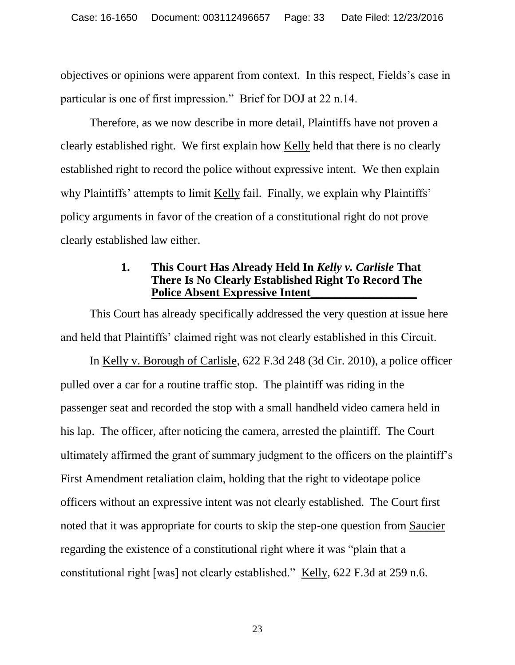objectives or opinions were apparent from context. In this respect, Fields"s case in particular is one of first impression." Brief for DOJ at 22 n.14.

Therefore, as we now describe in more detail, Plaintiffs have not proven a clearly established right. We first explain how Kelly held that there is no clearly established right to record the police without expressive intent. We then explain why Plaintiffs' attempts to limit <u>Kelly</u> fail. Finally, we explain why Plaintiffs' policy arguments in favor of the creation of a constitutional right do not prove clearly established law either.

# <span id="page-32-1"></span><span id="page-32-0"></span>**1. This Court Has Already Held In** *Kelly v. Carlisle* **That There Is No Clearly Established Right To Record The Police Absent Expressive Intent\_\_\_\_\_\_\_\_\_\_\_\_\_\_\_\_\_\_**

This Court has already specifically addressed the very question at issue here and held that Plaintiffs" claimed right was not clearly established in this Circuit.

In Kelly v. Borough of Carlisle, 622 F.3d 248 (3d Cir. 2010), a police officer pulled over a car for a routine traffic stop. The plaintiff was riding in the passenger seat and recorded the stop with a small handheld video camera held in his lap. The officer, after noticing the camera, arrested the plaintiff. The Court ultimately affirmed the grant of summary judgment to the officers on the plaintiff"s First Amendment retaliation claim, holding that the right to videotape police officers without an expressive intent was not clearly established. The Court first noted that it was appropriate for courts to skip the step-one question from Saucier regarding the existence of a constitutional right where it was "plain that a constitutional right [was] not clearly established." Kelly, 622 F.3d at 259 n.6.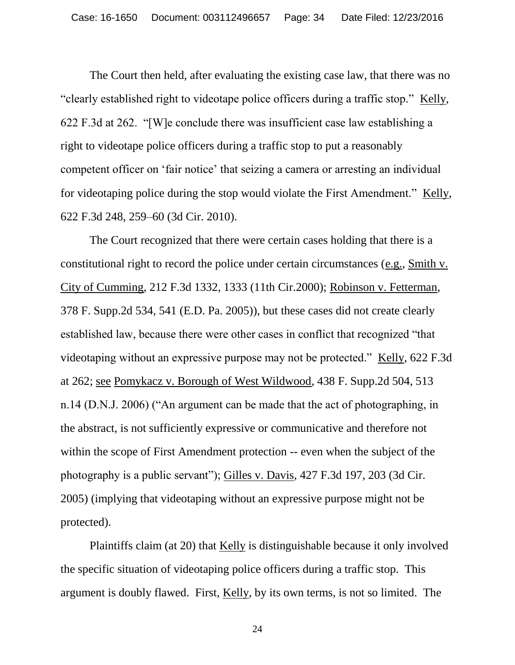<span id="page-33-1"></span>The Court then held, after evaluating the existing case law, that there was no "clearly established right to videotape police officers during a traffic stop." Kelly, 622 F.3d at 262. "[W]e conclude there was insufficient case law establishing a right to videotape police officers during a traffic stop to put a reasonably competent officer on "fair notice" that seizing a camera or arresting an individual for videotaping police during the stop would violate the First Amendment." Kelly, 622 F.3d 248, 259–60 (3d Cir. 2010).

<span id="page-33-4"></span><span id="page-33-3"></span><span id="page-33-2"></span>The Court recognized that there were certain cases holding that there is a constitutional right to record the police under certain circumstances (e.g., Smith v. City of Cumming, 212 F.3d 1332, 1333 (11th Cir.2000); Robinson v. Fetterman, 378 F. Supp.2d 534, 541 (E.D. Pa. 2005)), but these cases did not create clearly established law, because there were other cases in conflict that recognized "that videotaping without an expressive purpose may not be protected." Kelly, 622 F.3d at 262; see Pomykacz v. Borough of West Wildwood, 438 F. Supp.2d 504, 513 n.14 (D.N.J. 2006) ("An argument can be made that the act of photographing, in the abstract, is not sufficiently expressive or communicative and therefore not within the scope of First Amendment protection -- even when the subject of the photography is a public servant"); Gilles v. Davis, 427 F.3d 197, 203 (3d Cir. 2005) (implying that videotaping without an expressive purpose might not be protected).

<span id="page-33-0"></span>Plaintiffs claim (at 20) that Kelly is distinguishable because it only involved the specific situation of videotaping police officers during a traffic stop. This argument is doubly flawed. First, Kelly, by its own terms, is not so limited. The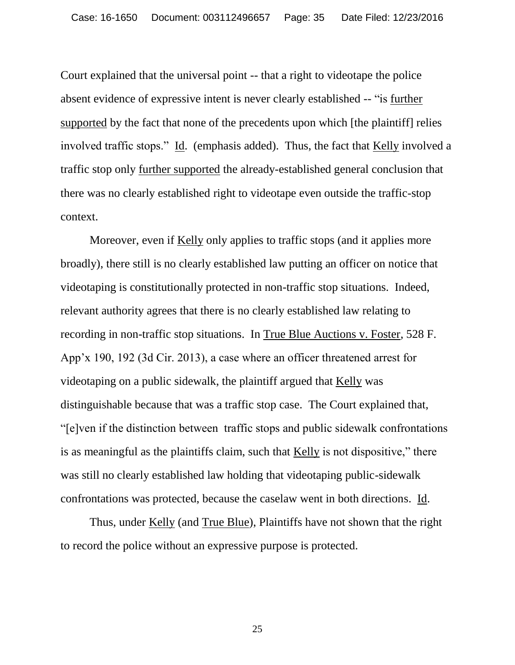<span id="page-34-1"></span><span id="page-34-0"></span>Court explained that the universal point -- that a right to videotape the police absent evidence of expressive intent is never clearly established -- "is further supported by the fact that none of the precedents upon which [the plaintiff] relies involved traffic stops." Id. (emphasis added). Thus, the fact that Kelly involved a traffic stop only further supported the already-established general conclusion that there was no clearly established right to videotape even outside the traffic-stop context.

<span id="page-34-2"></span>Moreover, even if Kelly only applies to traffic stops (and it applies more broadly), there still is no clearly established law putting an officer on notice that videotaping is constitutionally protected in non-traffic stop situations. Indeed, relevant authority agrees that there is no clearly established law relating to recording in non-traffic stop situations. In True Blue Auctions v. Foster, 528 F. App"x 190, 192 (3d Cir. 2013), a case where an officer threatened arrest for videotaping on a public sidewalk, the plaintiff argued that Kelly was distinguishable because that was a traffic stop case. The Court explained that, "[e]ven if the distinction between traffic stops and public sidewalk confrontations is as meaningful as the plaintiffs claim, such that Kelly is not dispositive," there was still no clearly established law holding that videotaping public-sidewalk confrontations was protected, because the caselaw went in both directions. Id.

Thus, under Kelly (and True Blue), Plaintiffs have not shown that the right to record the police without an expressive purpose is protected.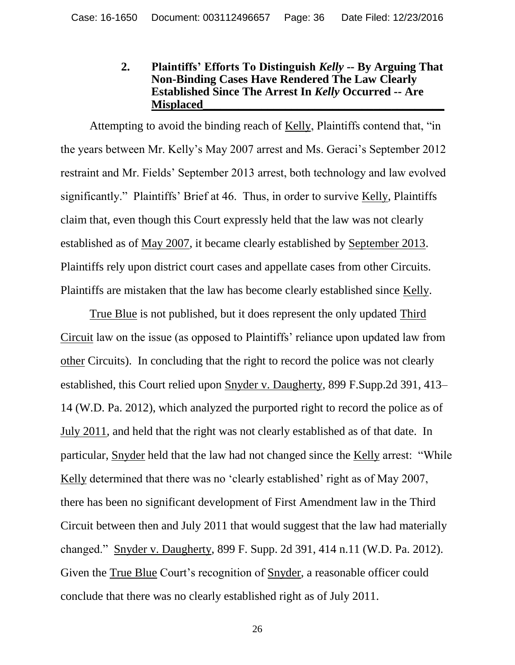### <span id="page-35-0"></span>**2. Plaintiffs' Efforts To Distinguish** *Kelly* **-- By Arguing That Non-Binding Cases Have Rendered The Law Clearly Established Since The Arrest In** *Kelly* **Occurred -- Are Misplaced\_\_\_\_\_\_\_\_\_\_\_\_\_\_\_\_\_\_\_\_\_\_\_\_\_\_\_\_\_\_\_\_\_\_\_\_\_\_\_\_\_**

Attempting to avoid the binding reach of Kelly, Plaintiffs contend that, "in the years between Mr. Kelly"s May 2007 arrest and Ms. Geraci"s September 2012 restraint and Mr. Fields" September 2013 arrest, both technology and law evolved significantly." Plaintiffs' Brief at 46. Thus, in order to survive Kelly, Plaintiffs claim that, even though this Court expressly held that the law was not clearly established as of May 2007, it became clearly established by September 2013. Plaintiffs rely upon district court cases and appellate cases from other Circuits. Plaintiffs are mistaken that the law has become clearly established since Kelly.

<span id="page-35-2"></span><span id="page-35-1"></span>True Blue is not published, but it does represent the only updated Third Circuit law on the issue (as opposed to Plaintiffs" reliance upon updated law from other Circuits). In concluding that the right to record the police was not clearly established, this Court relied upon Snyder v. Daugherty, 899 F.Supp.2d 391, 413– 14 (W.D. Pa. 2012), which analyzed the purported right to record the police as of July 2011, and held that the right was not clearly established as of that date. In particular, Snyder held that the law had not changed since the Kelly arrest: "While Kelly determined that there was no 'clearly established' right as of May 2007, there has been no significant development of First Amendment law in the Third Circuit between then and July 2011 that would suggest that the law had materially changed." Snyder v. Daugherty, 899 F. Supp. 2d 391, 414 n.11 (W.D. Pa. 2012). Given the True Blue Court's recognition of Snyder, a reasonable officer could conclude that there was no clearly established right as of July 2011.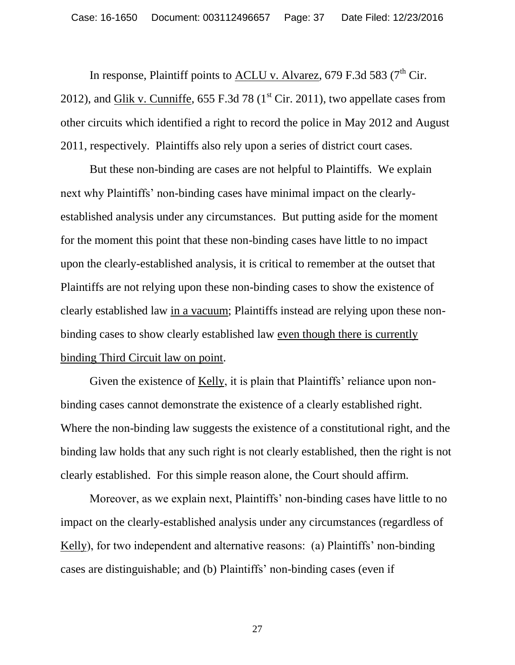<span id="page-36-1"></span><span id="page-36-0"></span>In response, Plaintiff points to  $\underline{\Lambda CLU}$  v. Alvarez, 679 F.3d 583 (7<sup>th</sup> Cir. 2012), and Glik v. Cunniffe,  $655$  F.3d 78 ( $1<sup>st</sup>$  Cir. 2011), two appellate cases from other circuits which identified a right to record the police in May 2012 and August 2011, respectively. Plaintiffs also rely upon a series of district court cases.

But these non-binding are cases are not helpful to Plaintiffs. We explain next why Plaintiffs' non-binding cases have minimal impact on the clearlyestablished analysis under any circumstances. But putting aside for the moment for the moment this point that these non-binding cases have little to no impact upon the clearly-established analysis, it is critical to remember at the outset that Plaintiffs are not relying upon these non-binding cases to show the existence of clearly established law in a vacuum; Plaintiffs instead are relying upon these nonbinding cases to show clearly established law even though there is currently binding Third Circuit law on point.

<span id="page-36-2"></span>Given the existence of Kelly, it is plain that Plaintiffs' reliance upon nonbinding cases cannot demonstrate the existence of a clearly established right. Where the non-binding law suggests the existence of a constitutional right, and the binding law holds that any such right is not clearly established, then the right is not clearly established. For this simple reason alone, the Court should affirm.

Moreover, as we explain next, Plaintiffs' non-binding cases have little to no impact on the clearly-established analysis under any circumstances (regardless of Kelly), for two independent and alternative reasons: (a) Plaintiffs' non-binding cases are distinguishable; and (b) Plaintiffs" non-binding cases (even if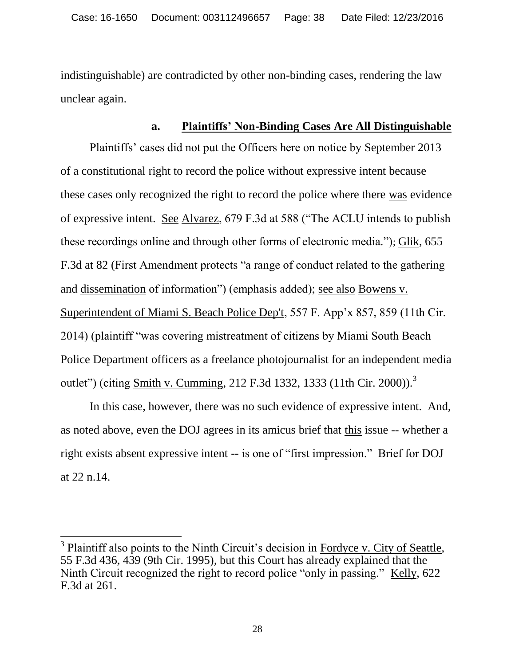indistinguishable) are contradicted by other non-binding cases, rendering the law unclear again.

# <span id="page-37-3"></span><span id="page-37-1"></span><span id="page-37-0"></span>**a. Plaintiffs' Non-Binding Cases Are All Distinguishable**

Plaintiffs' cases did not put the Officers here on notice by September 2013 of a constitutional right to record the police without expressive intent because these cases only recognized the right to record the police where there was evidence of expressive intent. See Alvarez, 679 F.3d at 588 ("The ACLU intends to publish these recordings online and through other forms of electronic media."); Glik, 655 F.3d at 82 (First Amendment protects "a range of conduct related to the gathering and dissemination of information") (emphasis added); see also Bowens v. Superintendent of Miami S. Beach Police Dep't, 557 F. App"x 857, 859 (11th Cir. 2014) (plaintiff "was covering mistreatment of citizens by Miami South Beach Police Department officers as a freelance photojournalist for an independent media outlet") (citing Smith v. Cumming, 212 F.3d 1332, 1333 (11th Cir. 2000)).<sup>3</sup>

<span id="page-37-5"></span>In this case, however, there was no such evidence of expressive intent. And, as noted above, even the DOJ agrees in its amicus brief that this issue -- whether a right exists absent expressive intent -- is one of "first impression." Brief for DOJ at 22 n.14.

<span id="page-37-4"></span><span id="page-37-2"></span> $\overline{a}$ 

<sup>&</sup>lt;sup>3</sup> Plaintiff also points to the Ninth Circuit's decision in Fordyce v. City of Seattle, 55 F.3d 436, 439 (9th Cir. 1995), but this Court has already explained that the Ninth Circuit recognized the right to record police "only in passing." Kelly, 622 F.3d at 261.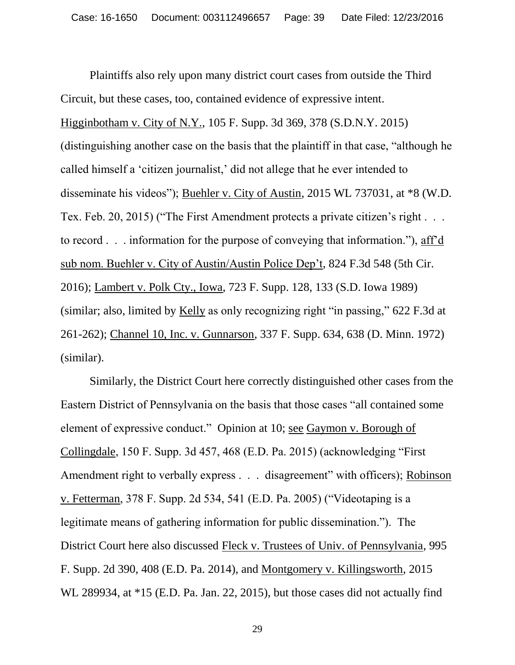<span id="page-38-4"></span><span id="page-38-0"></span>Plaintiffs also rely upon many district court cases from outside the Third Circuit, but these cases, too, contained evidence of expressive intent. Higginbotham v. City of N.Y., 105 F. Supp. 3d 369, 378 (S.D.N.Y. 2015) (distinguishing another case on the basis that the plaintiff in that case, "although he called himself a "citizen journalist," did not allege that he ever intended to disseminate his videos"); Buehler v. City of Austin, 2015 WL 737031, at \*8 (W.D. Tex. Feb. 20, 2015) ("The First Amendment protects a private citizen's right . . . to record . . . information for the purpose of conveying that information."), aff"d sub nom. Buehler v. City of Austin/Austin Police Dep't, 824 F.3d 548 (5th Cir. 2016); Lambert v. Polk Cty., Iowa, 723 F. Supp. 128, 133 (S.D. Iowa 1989) (similar; also, limited by Kelly as only recognizing right "in passing," 622 F.3d at 261-262); Channel 10, Inc. v. Gunnarson, 337 F. Supp. 634, 638 (D. Minn. 1972) (similar).

<span id="page-38-8"></span><span id="page-38-7"></span><span id="page-38-6"></span><span id="page-38-5"></span><span id="page-38-3"></span><span id="page-38-2"></span><span id="page-38-1"></span>Similarly, the District Court here correctly distinguished other cases from the Eastern District of Pennsylvania on the basis that those cases "all contained some element of expressive conduct." Opinion at 10; see Gaymon v. Borough of Collingdale, 150 F. Supp. 3d 457, 468 (E.D. Pa. 2015) (acknowledging "First Amendment right to verbally express . . . disagreement" with officers); Robinson v. Fetterman, 378 F. Supp. 2d 534, 541 (E.D. Pa. 2005) ("Videotaping is a legitimate means of gathering information for public dissemination."). The District Court here also discussed Fleck v. Trustees of Univ. of Pennsylvania, 995 F. Supp. 2d 390, 408 (E.D. Pa. 2014), and Montgomery v. Killingsworth, 2015 WL 289934, at \*15 (E.D. Pa. Jan. 22, 2015), but those cases did not actually find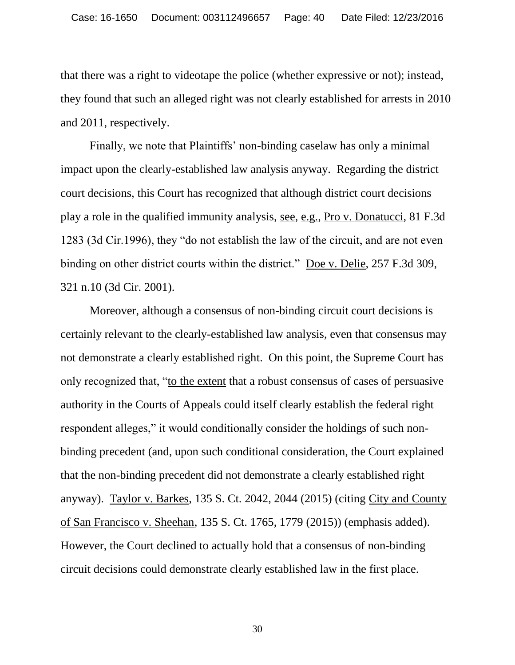that there was a right to videotape the police (whether expressive or not); instead, they found that such an alleged right was not clearly established for arrests in 2010 and 2011, respectively.

<span id="page-39-2"></span>Finally, we note that Plaintiffs' non-binding caselaw has only a minimal impact upon the clearly-established law analysis anyway. Regarding the district court decisions, this Court has recognized that although district court decisions play a role in the qualified immunity analysis, see, e.g., Pro v. Donatucci, 81 F.3d 1283 (3d Cir.1996), they "do not establish the law of the circuit, and are not even binding on other district courts within the district." Doe v. Delie, 257 F.3d 309, 321 n.10 (3d Cir. 2001).

<span id="page-39-3"></span><span id="page-39-1"></span><span id="page-39-0"></span>Moreover, although a consensus of non-binding circuit court decisions is certainly relevant to the clearly-established law analysis, even that consensus may not demonstrate a clearly established right. On this point, the Supreme Court has only recognized that, "to the extent that a robust consensus of cases of persuasive authority in the Courts of Appeals could itself clearly establish the federal right respondent alleges," it would conditionally consider the holdings of such nonbinding precedent (and, upon such conditional consideration, the Court explained that the non-binding precedent did not demonstrate a clearly established right anyway). Taylor v. Barkes, 135 S. Ct. 2042, 2044 (2015) (citing City and County of San Francisco v. Sheehan, 135 S. Ct. 1765, 1779 (2015)) (emphasis added). However, the Court declined to actually hold that a consensus of non-binding circuit decisions could demonstrate clearly established law in the first place.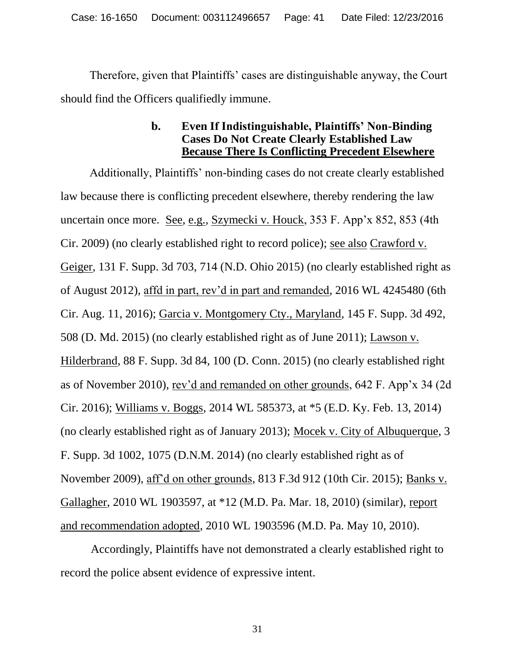Therefore, given that Plaintiffs" cases are distinguishable anyway, the Court should find the Officers qualifiedly immune.

## <span id="page-40-5"></span><span id="page-40-3"></span><span id="page-40-1"></span>**b. Even If Indistinguishable, Plaintiffs' Non-Binding Cases Do Not Create Clearly Established Law Because There Is Conflicting Precedent Elsewhere**

<span id="page-40-2"></span>Additionally, Plaintiffs" non-binding cases do not create clearly established law because there is conflicting precedent elsewhere, thereby rendering the law uncertain once more. See, e.g., Szymecki v. Houck, 353 F. App"x 852, 853 (4th Cir. 2009) (no clearly established right to record police); see also Crawford v. Geiger, 131 F. Supp. 3d 703, 714 (N.D. Ohio 2015) (no clearly established right as of August 2012), affd in part, rev"d in part and remanded, 2016 WL 4245480 (6th Cir. Aug. 11, 2016); Garcia v. Montgomery Cty., Maryland, 145 F. Supp. 3d 492, 508 (D. Md. 2015) (no clearly established right as of June 2011); Lawson v. Hilderbrand, 88 F. Supp. 3d 84, 100 (D. Conn. 2015) (no clearly established right as of November 2010), rev'd and remanded on other grounds, 642 F. App'x 34 (2d) Cir. 2016); Williams v. Boggs, 2014 WL 585373, at \*5 (E.D. Ky. Feb. 13, 2014) (no clearly established right as of January 2013); Mocek v. City of Albuquerque, 3 F. Supp. 3d 1002, 1075 (D.N.M. 2014) (no clearly established right as of November 2009), aff"d on other grounds, 813 F.3d 912 (10th Cir. 2015); Banks v. Gallagher, 2010 WL 1903597, at \*12 (M.D. Pa. Mar. 18, 2010) (similar), report and recommendation adopted, 2010 WL 1903596 (M.D. Pa. May 10, 2010).

<span id="page-40-6"></span><span id="page-40-4"></span><span id="page-40-0"></span>Accordingly, Plaintiffs have not demonstrated a clearly established right to record the police absent evidence of expressive intent.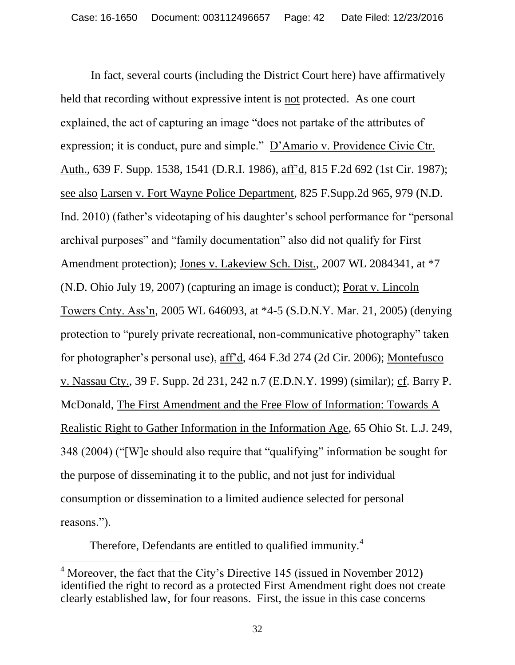<span id="page-41-4"></span><span id="page-41-2"></span><span id="page-41-1"></span><span id="page-41-0"></span>In fact, several courts (including the District Court here) have affirmatively held that recording without expressive intent is not protected. As one court explained, the act of capturing an image "does not partake of the attributes of expression; it is conduct, pure and simple." D"Amario v. Providence Civic Ctr. Auth., 639 F. Supp. 1538, 1541 (D.R.I. 1986), aff"d, 815 F.2d 692 (1st Cir. 1987); see also Larsen v. Fort Wayne Police Department, 825 F.Supp.2d 965, 979 (N.D. Ind. 2010) (father's videotaping of his daughter's school performance for "personal" archival purposes" and "family documentation" also did not qualify for First Amendment protection); Jones v. Lakeview Sch. Dist., 2007 WL 2084341, at \*7 (N.D. Ohio July 19, 2007) (capturing an image is conduct); Porat v. Lincoln Towers Cnty. Ass"n, 2005 WL 646093, at \*4-5 (S.D.N.Y. Mar. 21, 2005) (denying protection to "purely private recreational, non-communicative photography" taken for photographer"s personal use), aff"d, 464 F.3d 274 (2d Cir. 2006); Montefusco v. Nassau Cty., 39 F. Supp. 2d 231, 242 n.7 (E.D.N.Y. 1999) (similar); cf. Barry P. McDonald, The First Amendment and the Free Flow of Information: Towards A Realistic Right to Gather Information in the Information Age, 65 Ohio St. L.J. 249, 348 (2004) ("[W]e should also require that "qualifying" information be sought for the purpose of disseminating it to the public, and not just for individual consumption or dissemination to a limited audience selected for personal reasons.").

<span id="page-41-5"></span><span id="page-41-3"></span>Therefore, Defendants are entitled to qualified immunity.<sup>4</sup>

 $\overline{a}$  $4$  Moreover, the fact that the City's Directive 145 (issued in November 2012) identified the right to record as a protected First Amendment right does not create clearly established law, for four reasons. First, the issue in this case concerns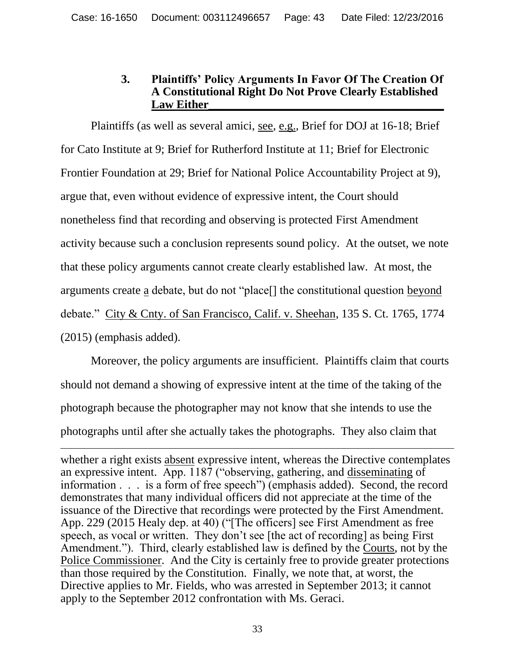### **3. Plaintiffs' Policy Arguments In Favor Of The Creation Of A Constitutional Right Do Not Prove Clearly Established**  Law Either

Plaintiffs (as well as several amici, see, e.g., Brief for DOJ at 16-18; Brief for Cato Institute at 9; Brief for Rutherford Institute at 11; Brief for Electronic Frontier Foundation at 29; Brief for National Police Accountability Project at 9), argue that, even without evidence of expressive intent, the Court should nonetheless find that recording and observing is protected First Amendment activity because such a conclusion represents sound policy. At the outset, we note that these policy arguments cannot create clearly established law. At most, the arguments create a debate, but do not "place[] the constitutional question beyond debate." City & Cnty. of San Francisco, Calif. v. Sheehan, 135 S. Ct. 1765, 1774 (2015) (emphasis added).

<span id="page-42-0"></span>Moreover, the policy arguments are insufficient. Plaintiffs claim that courts should not demand a showing of expressive intent at the time of the taking of the photograph because the photographer may not know that she intends to use the photographs until after she actually takes the photographs. They also claim that

 $\overline{a}$ 

whether a right exists absent expressive intent, whereas the Directive contemplates an expressive intent. App. 1187 ("observing, gathering, and disseminating of information . . . is a form of free speech") (emphasis added). Second, the record demonstrates that many individual officers did not appreciate at the time of the issuance of the Directive that recordings were protected by the First Amendment. App. 229 (2015 Healy dep. at 40) ("[The officers] see First Amendment as free speech, as vocal or written. They don't see [the act of recording] as being First Amendment."). Third, clearly established law is defined by the Courts, not by the Police Commissioner. And the City is certainly free to provide greater protections than those required by the Constitution. Finally, we note that, at worst, the Directive applies to Mr. Fields, who was arrested in September 2013; it cannot apply to the September 2012 confrontation with Ms. Geraci.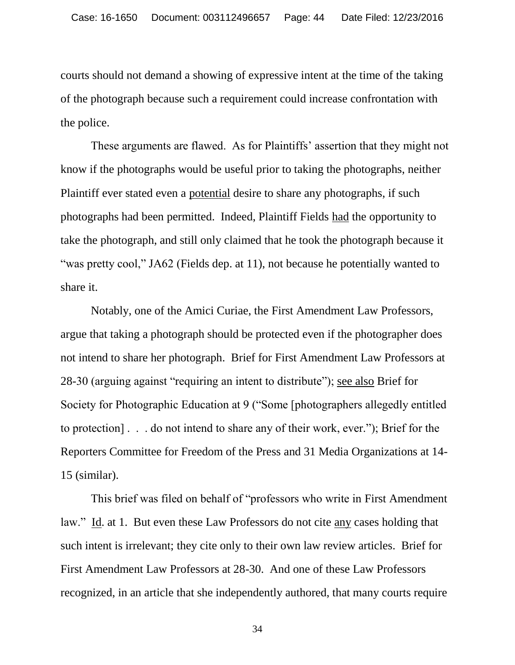courts should not demand a showing of expressive intent at the time of the taking of the photograph because such a requirement could increase confrontation with the police.

These arguments are flawed. As for Plaintiffs' assertion that they might not know if the photographs would be useful prior to taking the photographs, neither Plaintiff ever stated even a potential desire to share any photographs, if such photographs had been permitted. Indeed, Plaintiff Fields had the opportunity to take the photograph, and still only claimed that he took the photograph because it "was pretty cool," JA62 (Fields dep. at 11), not because he potentially wanted to share it.

Notably, one of the Amici Curiae, the First Amendment Law Professors, argue that taking a photograph should be protected even if the photographer does not intend to share her photograph. Brief for First Amendment Law Professors at 28-30 (arguing against "requiring an intent to distribute"); see also Brief for Society for Photographic Education at 9 ("Some [photographers allegedly entitled to protection] . . . do not intend to share any of their work, ever."); Brief for the Reporters Committee for Freedom of the Press and 31 Media Organizations at 14- 15 (similar).

This brief was filed on behalf of "professors who write in First Amendment law." Id. at 1. But even these Law Professors do not cite any cases holding that such intent is irrelevant; they cite only to their own law review articles. Brief for First Amendment Law Professors at 28-30. And one of these Law Professors recognized, in an article that she independently authored, that many courts require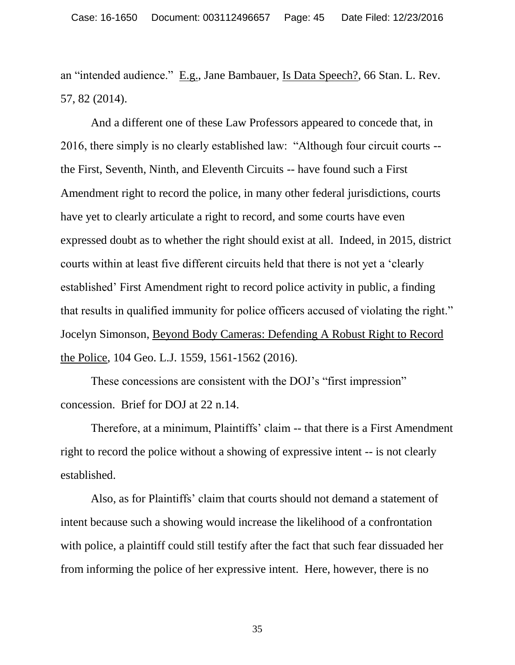<span id="page-44-0"></span>an "intended audience." E.g., Jane Bambauer, Is Data Speech?, 66 Stan. L. Rev. 57, 82 (2014).

And a different one of these Law Professors appeared to concede that, in 2016, there simply is no clearly established law: "Although four circuit courts - the First, Seventh, Ninth, and Eleventh Circuits -- have found such a First Amendment right to record the police, in many other federal jurisdictions, courts have yet to clearly articulate a right to record, and some courts have even expressed doubt as to whether the right should exist at all. Indeed, in 2015, district courts within at least five different circuits held that there is not yet a "clearly established" First Amendment right to record police activity in public, a finding that results in qualified immunity for police officers accused of violating the right." Jocelyn Simonson, Beyond Body Cameras: Defending A Robust Right to Record the Police, 104 Geo. L.J. 1559, 1561-1562 (2016).

<span id="page-44-1"></span>These concessions are consistent with the DOJ's "first impression" concession. Brief for DOJ at 22 n.14.

Therefore, at a minimum, Plaintiffs' claim -- that there is a First Amendment right to record the police without a showing of expressive intent -- is not clearly established.

Also, as for Plaintiffs" claim that courts should not demand a statement of intent because such a showing would increase the likelihood of a confrontation with police, a plaintiff could still testify after the fact that such fear dissuaded her from informing the police of her expressive intent. Here, however, there is no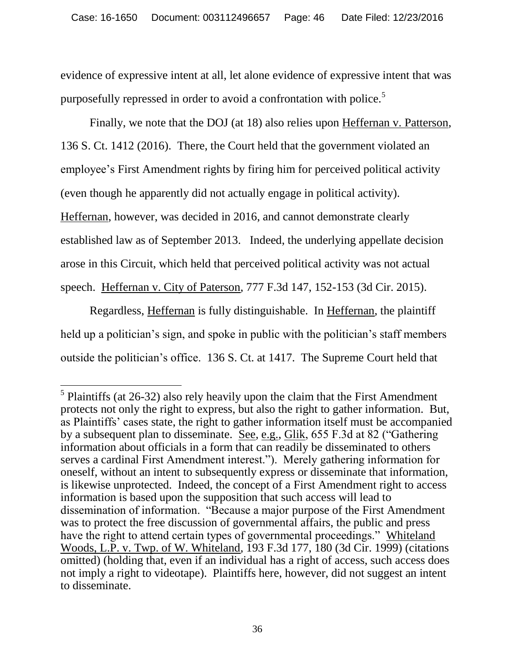evidence of expressive intent at all, let alone evidence of expressive intent that was purposefully repressed in order to avoid a confrontation with police.<sup>5</sup>

<span id="page-45-2"></span>Finally, we note that the DOJ (at 18) also relies upon Heffernan v. Patterson, 136 S. Ct. 1412 (2016). There, the Court held that the government violated an employee"s First Amendment rights by firing him for perceived political activity (even though he apparently did not actually engage in political activity). Heffernan, however, was decided in 2016, and cannot demonstrate clearly established law as of September 2013. Indeed, the underlying appellate decision arose in this Circuit, which held that perceived political activity was not actual speech. Heffernan v. City of Paterson, 777 F.3d 147, 152-153 (3d Cir. 2015).

<span id="page-45-1"></span>Regardless, Heffernan is fully distinguishable. In Heffernan, the plaintiff held up a politician's sign, and spoke in public with the politician's staff members outside the politician"s office. 136 S. Ct. at 1417. The Supreme Court held that

<span id="page-45-3"></span><span id="page-45-0"></span><sup>&</sup>lt;sup>5</sup> Plaintiffs (at 26-32) also rely heavily upon the claim that the First Amendment protects not only the right to express, but also the right to gather information. But, as Plaintiffs' cases state, the right to gather information itself must be accompanied by a subsequent plan to disseminate. See, e.g., Glik, 655 F.3d at 82 ("Gathering information about officials in a form that can readily be disseminated to others serves a cardinal First Amendment interest."). Merely gathering information for oneself, without an intent to subsequently express or disseminate that information, is likewise unprotected. Indeed, the concept of a First Amendment right to access information is based upon the supposition that such access will lead to dissemination of information. "Because a major purpose of the First Amendment was to protect the free discussion of governmental affairs, the public and press have the right to attend certain types of governmental proceedings." Whiteland Woods, L.P. v. Twp. of W. Whiteland, 193 F.3d 177, 180 (3d Cir. 1999) (citations omitted) (holding that, even if an individual has a right of access, such access does not imply a right to videotape). Plaintiffs here, however, did not suggest an intent to disseminate.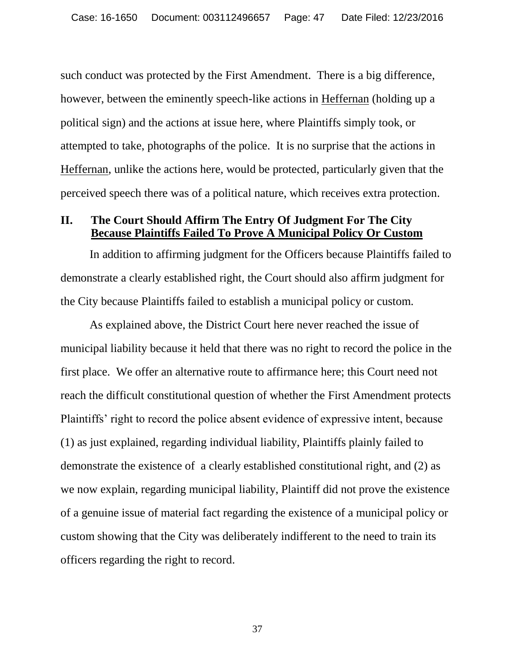<span id="page-46-0"></span>such conduct was protected by the First Amendment. There is a big difference, however, between the eminently speech-like actions in Heffernan (holding up a political sign) and the actions at issue here, where Plaintiffs simply took, or attempted to take, photographs of the police. It is no surprise that the actions in Heffernan, unlike the actions here, would be protected, particularly given that the perceived speech there was of a political nature, which receives extra protection.

### **II. The Court Should Affirm The Entry Of Judgment For The City Because Plaintiffs Failed To Prove A Municipal Policy Or Custom**

In addition to affirming judgment for the Officers because Plaintiffs failed to demonstrate a clearly established right, the Court should also affirm judgment for the City because Plaintiffs failed to establish a municipal policy or custom.

As explained above, the District Court here never reached the issue of municipal liability because it held that there was no right to record the police in the first place. We offer an alternative route to affirmance here; this Court need not reach the difficult constitutional question of whether the First Amendment protects Plaintiffs" right to record the police absent evidence of expressive intent, because (1) as just explained, regarding individual liability, Plaintiffs plainly failed to demonstrate the existence of a clearly established constitutional right, and (2) as we now explain, regarding municipal liability, Plaintiff did not prove the existence of a genuine issue of material fact regarding the existence of a municipal policy or custom showing that the City was deliberately indifferent to the need to train its officers regarding the right to record.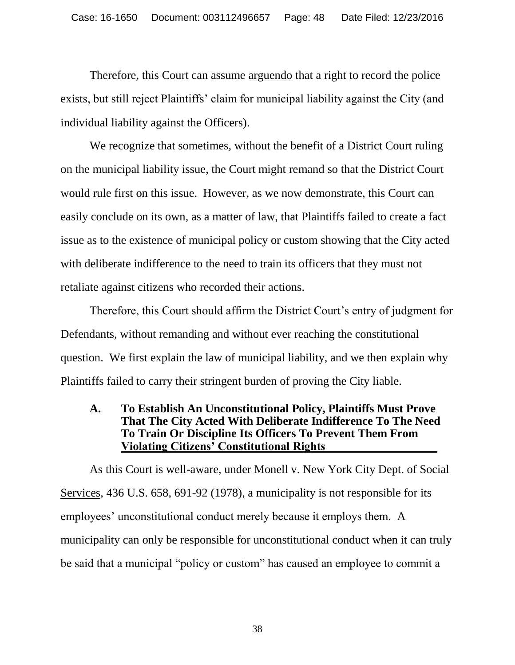Therefore, this Court can assume arguendo that a right to record the police exists, but still reject Plaintiffs" claim for municipal liability against the City (and individual liability against the Officers).

We recognize that sometimes, without the benefit of a District Court ruling on the municipal liability issue, the Court might remand so that the District Court would rule first on this issue. However, as we now demonstrate, this Court can easily conclude on its own, as a matter of law, that Plaintiffs failed to create a fact issue as to the existence of municipal policy or custom showing that the City acted with deliberate indifference to the need to train its officers that they must not retaliate against citizens who recorded their actions.

Therefore, this Court should affirm the District Court's entry of judgment for Defendants, without remanding and without ever reaching the constitutional question. We first explain the law of municipal liability, and we then explain why Plaintiffs failed to carry their stringent burden of proving the City liable.

## <span id="page-47-0"></span>**A. To Establish An Unconstitutional Policy, Plaintiffs Must Prove That The City Acted With Deliberate Indifference To The Need To Train Or Discipline Its Officers To Prevent Them From Violating Citizens' Constitutional Rights\_\_\_\_\_\_\_\_\_\_\_\_\_\_\_\_\_\_\_**

As this Court is well-aware, under Monell v. New York City Dept. of Social Services, 436 U.S. 658, 691-92 (1978), a municipality is not responsible for its employees' unconstitutional conduct merely because it employs them. A municipality can only be responsible for unconstitutional conduct when it can truly be said that a municipal "policy or custom" has caused an employee to commit a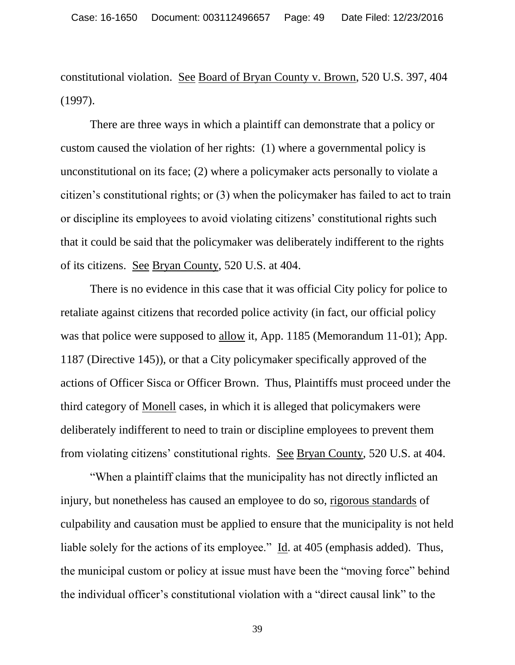<span id="page-48-0"></span>constitutional violation. See Board of Bryan County v. Brown, 520 U.S. 397, 404 (1997).

 There are three ways in which a plaintiff can demonstrate that a policy or custom caused the violation of her rights: (1) where a governmental policy is unconstitutional on its face; (2) where a policymaker acts personally to violate a citizen"s constitutional rights; or (3) when the policymaker has failed to act to train or discipline its employees to avoid violating citizens" constitutional rights such that it could be said that the policymaker was deliberately indifferent to the rights of its citizens. See Bryan County, 520 U.S. at 404.

 There is no evidence in this case that it was official City policy for police to retaliate against citizens that recorded police activity (in fact, our official policy was that police were supposed to allow it, App. 1185 (Memorandum 11-01); App. 1187 (Directive 145)), or that a City policymaker specifically approved of the actions of Officer Sisca or Officer Brown. Thus, Plaintiffs must proceed under the third category of Monell cases, in which it is alleged that policymakers were deliberately indifferent to need to train or discipline employees to prevent them from violating citizens" constitutional rights. See Bryan County, 520 U.S. at 404.

<span id="page-48-1"></span> "When a plaintiff claims that the municipality has not directly inflicted an injury, but nonetheless has caused an employee to do so, rigorous standards of culpability and causation must be applied to ensure that the municipality is not held liable solely for the actions of its employee." Id. at 405 (emphasis added). Thus, the municipal custom or policy at issue must have been the "moving force" behind the individual officer"s constitutional violation with a "direct causal link" to the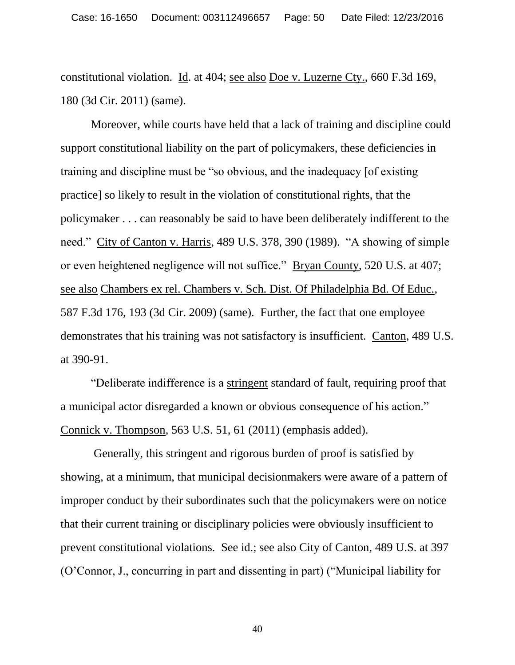<span id="page-49-4"></span><span id="page-49-0"></span>constitutional violation. Id. at 404; see also Doe v. Luzerne Cty., 660 F.3d 169, 180 (3d Cir. 2011) (same).

<span id="page-49-2"></span>Moreover, while courts have held that a lack of training and discipline could support constitutional liability on the part of policymakers, these deficiencies in training and discipline must be "so obvious, and the inadequacy [of existing practice] so likely to result in the violation of constitutional rights, that the policymaker . . . can reasonably be said to have been deliberately indifferent to the need." City of Canton v. Harris, 489 U.S. 378, 390 (1989). "A showing of simple or even heightened negligence will not suffice." Bryan County, 520 U.S. at 407; see also Chambers ex rel. Chambers v. Sch. Dist. Of Philadelphia Bd. Of Educ., 587 F.3d 176, 193 (3d Cir. 2009) (same). Further, the fact that one employee demonstrates that his training was not satisfactory is insufficient. Canton, 489 U.S. at 390-91.

<span id="page-49-3"></span><span id="page-49-1"></span>"Deliberate indifference is a stringent standard of fault, requiring proof that a municipal actor disregarded a known or obvious consequence of his action." Connick v. Thompson, 563 U.S. 51, 61 (2011) (emphasis added).

Generally, this stringent and rigorous burden of proof is satisfied by showing, at a minimum, that municipal decisionmakers were aware of a pattern of improper conduct by their subordinates such that the policymakers were on notice that their current training or disciplinary policies were obviously insufficient to prevent constitutional violations. See id.; see also City of Canton, 489 U.S. at 397 (O"Connor, J., concurring in part and dissenting in part) ("Municipal liability for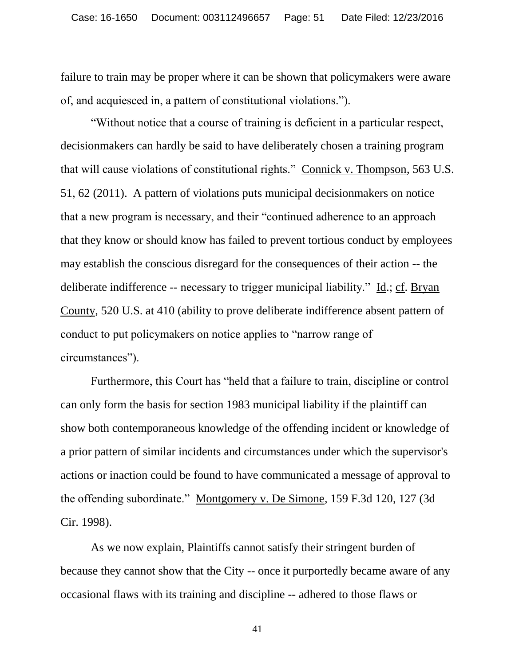failure to train may be proper where it can be shown that policymakers were aware of, and acquiesced in, a pattern of constitutional violations.").

<span id="page-50-1"></span>"Without notice that a course of training is deficient in a particular respect, decisionmakers can hardly be said to have deliberately chosen a training program that will cause violations of constitutional rights." Connick v. Thompson, 563 U.S. 51, 62 (2011). A pattern of violations puts municipal decisionmakers on notice that a new program is necessary, and their "continued adherence to an approach that they know or should know has failed to prevent tortious conduct by employees may establish the conscious disregard for the consequences of their action -- the deliberate indifference -- necessary to trigger municipal liability." Id.; cf. Bryan County, 520 U.S. at 410 (ability to prove deliberate indifference absent pattern of conduct to put policymakers on notice applies to "narrow range of circumstances").

<span id="page-50-0"></span>Furthermore, this Court has "held that a failure to train, discipline or control can only form the basis for section 1983 municipal liability if the plaintiff can show both contemporaneous knowledge of the offending incident or knowledge of a prior pattern of similar incidents and circumstances under which the supervisor's actions or inaction could be found to have communicated a message of approval to the offending subordinate." Montgomery v. De Simone, 159 F.3d 120, 127 (3d Cir. 1998).

<span id="page-50-2"></span>As we now explain, Plaintiffs cannot satisfy their stringent burden of because they cannot show that the City -- once it purportedly became aware of any occasional flaws with its training and discipline -- adhered to those flaws or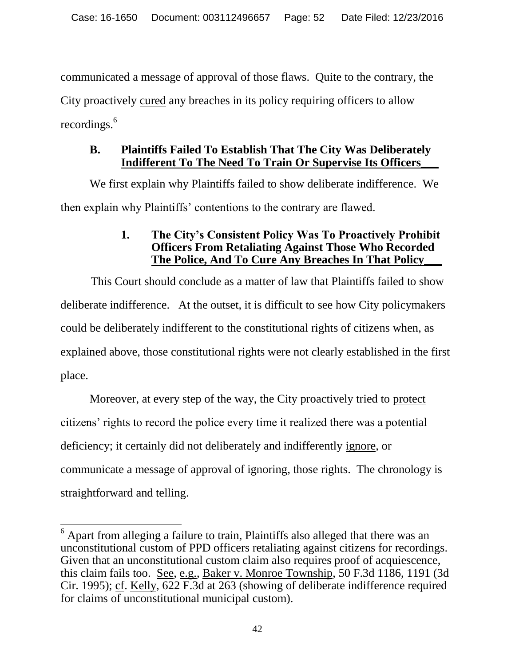communicated a message of approval of those flaws. Quite to the contrary, the City proactively cured any breaches in its policy requiring officers to allow recordings.<sup>6</sup>

# **B. Plaintiffs Failed To Establish That The City Was Deliberately Indifferent To The Need To Train Or Supervise Its Officers\_\_\_**

We first explain why Plaintiffs failed to show deliberate indifference. We then explain why Plaintiffs" contentions to the contrary are flawed.

# **1. The City's Consistent Policy Was To Proactively Prohibit Officers From Retaliating Against Those Who Recorded The Police, And To Cure Any Breaches In That Policy\_\_\_**

This Court should conclude as a matter of law that Plaintiffs failed to show deliberate indifference. At the outset, it is difficult to see how City policymakers could be deliberately indifferent to the constitutional rights of citizens when, as explained above, those constitutional rights were not clearly established in the first place.

Moreover, at every step of the way, the City proactively tried to protect citizens" rights to record the police every time it realized there was a potential deficiency; it certainly did not deliberately and indifferently ignore, or communicate a message of approval of ignoring, those rights. The chronology is straightforward and telling.

<span id="page-51-1"></span><span id="page-51-0"></span> $\overline{a}$  $6$  Apart from alleging a failure to train, Plaintiffs also alleged that there was an unconstitutional custom of PPD officers retaliating against citizens for recordings. Given that an unconstitutional custom claim also requires proof of acquiescence, this claim fails too. See, e.g., Baker v. Monroe Township, 50 F.3d 1186, 1191 (3d Cir. 1995); cf. Kelly, 622 F.3d at 263 (showing of deliberate indifference required for claims of unconstitutional municipal custom).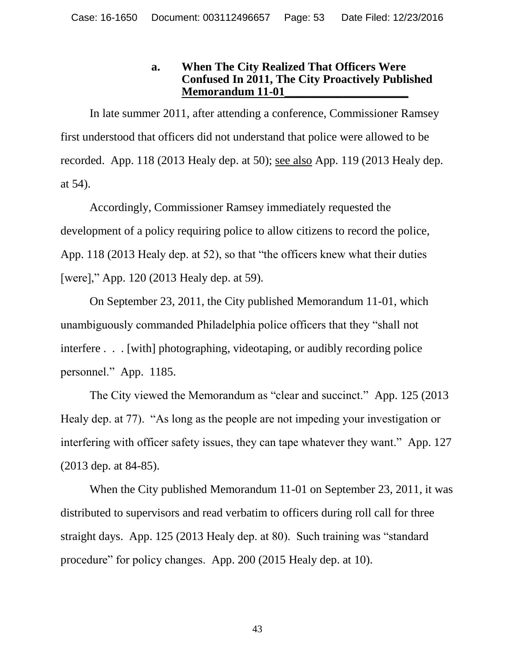## **a. When The City Realized That Officers Were Confused In 2011, The City Proactively Published Memorandum 11-01\_\_\_\_\_\_\_\_\_\_\_\_\_\_\_\_\_\_\_\_\_**

In late summer 2011, after attending a conference, Commissioner Ramsey first understood that officers did not understand that police were allowed to be recorded. App. 118 (2013 Healy dep. at 50); see also App. 119 (2013 Healy dep. at 54).

Accordingly, Commissioner Ramsey immediately requested the development of a policy requiring police to allow citizens to record the police, App. 118 (2013 Healy dep. at 52), so that "the officers knew what their duties [were]," App. 120 (2013 Healy dep. at 59).

On September 23, 2011, the City published Memorandum 11-01, which unambiguously commanded Philadelphia police officers that they "shall not interfere . . . [with] photographing, videotaping, or audibly recording police personnel." App. 1185.

The City viewed the Memorandum as "clear and succinct." App. 125 (2013 Healy dep. at 77). "As long as the people are not impeding your investigation or interfering with officer safety issues, they can tape whatever they want." App. 127 (2013 dep. at 84-85).

When the City published Memorandum 11-01 on September 23, 2011, it was distributed to supervisors and read verbatim to officers during roll call for three straight days. App. 125 (2013 Healy dep. at 80). Such training was "standard procedure" for policy changes. App. 200 (2015 Healy dep. at 10).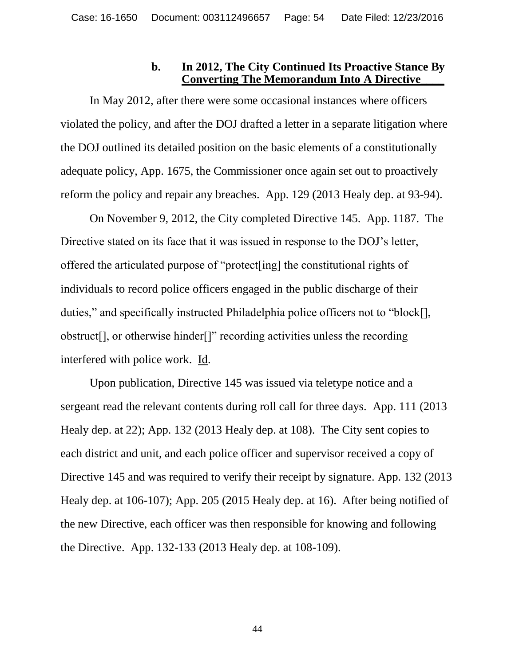# **b. In 2012, The City Continued Its Proactive Stance By Converting The Memorandum Into A Directive\_\_\_\_**

In May 2012, after there were some occasional instances where officers violated the policy, and after the DOJ drafted a letter in a separate litigation where the DOJ outlined its detailed position on the basic elements of a constitutionally adequate policy, App. 1675, the Commissioner once again set out to proactively reform the policy and repair any breaches. App. 129 (2013 Healy dep. at 93-94).

On November 9, 2012, the City completed Directive 145. App. 1187. The Directive stated on its face that it was issued in response to the DOJ"s letter, offered the articulated purpose of "protect[ing] the constitutional rights of individuals to record police officers engaged in the public discharge of their duties," and specifically instructed Philadelphia police officers not to "block[], obstruct[], or otherwise hinder[]" recording activities unless the recording interfered with police work. Id.

Upon publication, Directive 145 was issued via teletype notice and a sergeant read the relevant contents during roll call for three days. App. 111 (2013 Healy dep. at 22); App. 132 (2013 Healy dep. at 108). The City sent copies to each district and unit, and each police officer and supervisor received a copy of Directive 145 and was required to verify their receipt by signature. App. 132 (2013 Healy dep. at 106-107); App. 205 (2015 Healy dep. at 16). After being notified of the new Directive, each officer was then responsible for knowing and following the Directive. App. 132-133 (2013 Healy dep. at 108-109).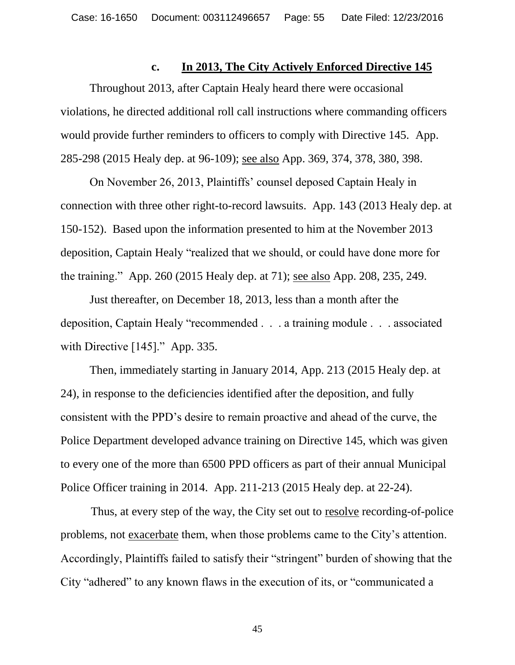# **c. In 2013, The City Actively Enforced Directive 145**

Throughout 2013, after Captain Healy heard there were occasional violations, he directed additional roll call instructions where commanding officers would provide further reminders to officers to comply with Directive 145. App. 285-298 (2015 Healy dep. at 96-109); see also App. 369, 374, 378, 380, 398.

On November 26, 2013, Plaintiffs" counsel deposed Captain Healy in connection with three other right-to-record lawsuits. App. 143 (2013 Healy dep. at 150-152). Based upon the information presented to him at the November 2013 deposition, Captain Healy "realized that we should, or could have done more for the training." App. 260 (2015 Healy dep. at 71); see also App. 208, 235, 249.

Just thereafter, on December 18, 2013, less than a month after the deposition, Captain Healy "recommended . . . a training module . . . associated with Directive [145]." App. 335.

Then, immediately starting in January 2014, App. 213 (2015 Healy dep. at 24), in response to the deficiencies identified after the deposition, and fully consistent with the PPD"s desire to remain proactive and ahead of the curve, the Police Department developed advance training on Directive 145, which was given to every one of the more than 6500 PPD officers as part of their annual Municipal Police Officer training in 2014. App. 211-213 (2015 Healy dep. at 22-24).

Thus, at every step of the way, the City set out to resolve recording-of-police problems, not exacerbate them, when those problems came to the City"s attention. Accordingly, Plaintiffs failed to satisfy their "stringent" burden of showing that the City "adhered" to any known flaws in the execution of its, or "communicated a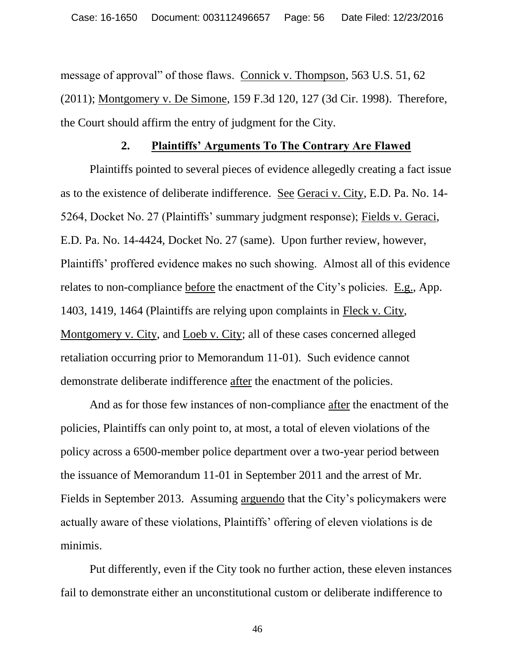<span id="page-55-1"></span>message of approval" of those flaws. Connick v. Thompson, 563 U.S. 51, 62 (2011); Montgomery v. De Simone, 159 F.3d 120, 127 (3d Cir. 1998). Therefore, the Court should affirm the entry of judgment for the City.

#### <span id="page-55-0"></span>**2. Plaintiffs' Arguments To The Contrary Are Flawed**

Plaintiffs pointed to several pieces of evidence allegedly creating a fact issue as to the existence of deliberate indifference. See Geraci v. City, E.D. Pa. No. 14- 5264, Docket No. 27 (Plaintiffs" summary judgment response); Fields v. Geraci, E.D. Pa. No. 14-4424, Docket No. 27 (same). Upon further review, however, Plaintiffs" proffered evidence makes no such showing. Almost all of this evidence relates to non-compliance before the enactment of the City"s policies. E.g., App. 1403, 1419, 1464 (Plaintiffs are relying upon complaints in Fleck v. City, Montgomery v. City, and Loeb v. City; all of these cases concerned alleged retaliation occurring prior to Memorandum 11-01). Such evidence cannot demonstrate deliberate indifference after the enactment of the policies.

And as for those few instances of non-compliance after the enactment of the policies, Plaintiffs can only point to, at most, a total of eleven violations of the policy across a 6500-member police department over a two-year period between the issuance of Memorandum 11-01 in September 2011 and the arrest of Mr. Fields in September 2013. Assuming arguendo that the City's policymakers were actually aware of these violations, Plaintiffs" offering of eleven violations is de minimis.

Put differently, even if the City took no further action, these eleven instances fail to demonstrate either an unconstitutional custom or deliberate indifference to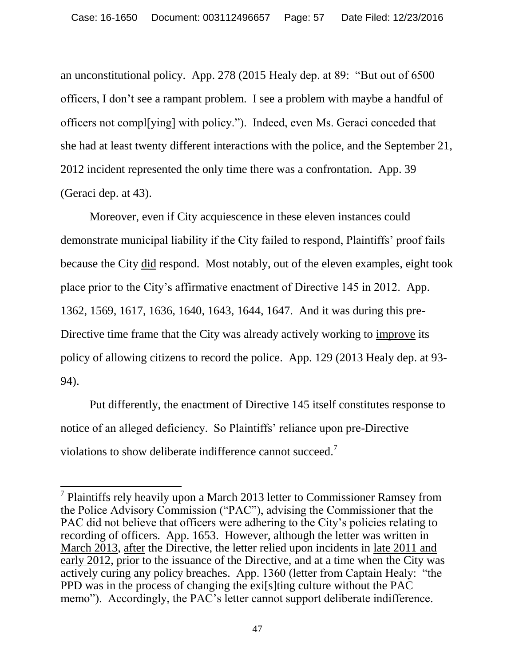an unconstitutional policy. App. 278 (2015 Healy dep. at 89: "But out of 6500 officers, I don"t see a rampant problem. I see a problem with maybe a handful of officers not compl[ying] with policy."). Indeed, even Ms. Geraci conceded that she had at least twenty different interactions with the police, and the September 21, 2012 incident represented the only time there was a confrontation. App. 39 (Geraci dep. at 43).

Moreover, even if City acquiescence in these eleven instances could demonstrate municipal liability if the City failed to respond, Plaintiffs" proof fails because the City did respond. Most notably, out of the eleven examples, eight took place prior to the City"s affirmative enactment of Directive 145 in 2012. App. 1362, 1569, 1617, 1636, 1640, 1643, 1644, 1647. And it was during this pre-Directive time frame that the City was already actively working to improve its policy of allowing citizens to record the police. App. 129 (2013 Healy dep. at 93- 94).

Put differently, the enactment of Directive 145 itself constitutes response to notice of an alleged deficiency. So Plaintiffs' reliance upon pre-Directive violations to show deliberate indifference cannot succeed.<sup>7</sup>

 $\overline{a}$ 

 $7$  Plaintiffs rely heavily upon a March 2013 letter to Commissioner Ramsey from the Police Advisory Commission ("PAC"), advising the Commissioner that the PAC did not believe that officers were adhering to the City"s policies relating to recording of officers. App. 1653. However, although the letter was written in March 2013, after the Directive, the letter relied upon incidents in late 2011 and early 2012, prior to the issuance of the Directive, and at a time when the City was actively curing any policy breaches. App. 1360 (letter from Captain Healy: "the PPD was in the process of changing the exi[s]ting culture without the PAC memo"). Accordingly, the PAC's letter cannot support deliberate indifference.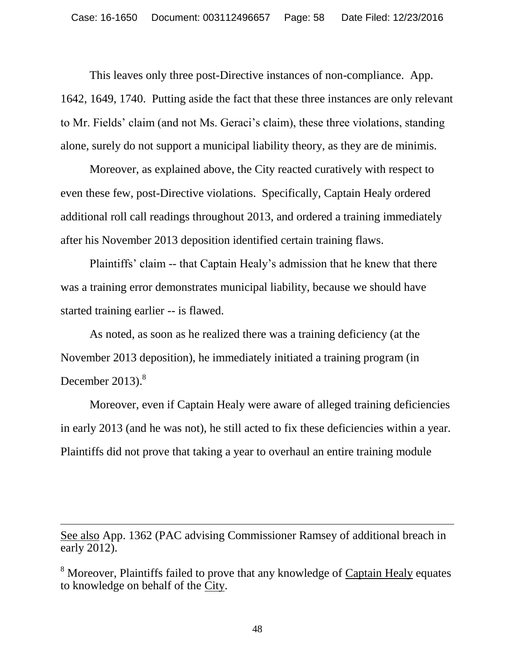This leaves only three post-Directive instances of non-compliance. App. 1642, 1649, 1740. Putting aside the fact that these three instances are only relevant to Mr. Fields" claim (and not Ms. Geraci"s claim), these three violations, standing alone, surely do not support a municipal liability theory, as they are de minimis.

Moreover, as explained above, the City reacted curatively with respect to even these few, post-Directive violations. Specifically, Captain Healy ordered additional roll call readings throughout 2013, and ordered a training immediately after his November 2013 deposition identified certain training flaws.

Plaintiffs" claim -- that Captain Healy"s admission that he knew that there was a training error demonstrates municipal liability, because we should have started training earlier -- is flawed.

As noted, as soon as he realized there was a training deficiency (at the November 2013 deposition), he immediately initiated a training program (in December 2013). $8$ 

Moreover, even if Captain Healy were aware of alleged training deficiencies in early 2013 (and he was not), he still acted to fix these deficiencies within a year. Plaintiffs did not prove that taking a year to overhaul an entire training module

See also App. 1362 (PAC advising Commissioner Ramsey of additional breach in early 2012).

 $\overline{a}$ 

<sup>8</sup> Moreover, Plaintiffs failed to prove that any knowledge of Captain Healy equates to knowledge on behalf of the City.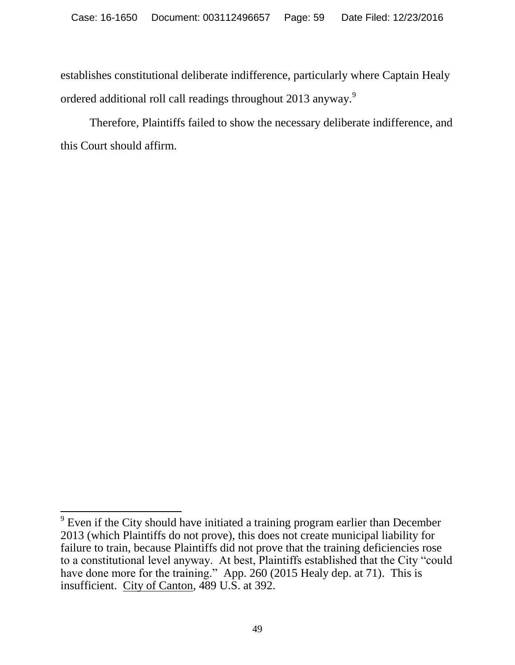establishes constitutional deliberate indifference, particularly where Captain Healy ordered additional roll call readings throughout 2013 anyway.<sup>9</sup>

Therefore, Plaintiffs failed to show the necessary deliberate indifference, and this Court should affirm.

<span id="page-58-0"></span><sup>&</sup>lt;sup>9</sup> Even if the City should have initiated a training program earlier than December 2013 (which Plaintiffs do not prove), this does not create municipal liability for failure to train, because Plaintiffs did not prove that the training deficiencies rose to a constitutional level anyway. At best, Plaintiffs established that the City "could have done more for the training." App. 260 (2015 Healy dep. at 71). This is insufficient. City of Canton, 489 U.S. at 392.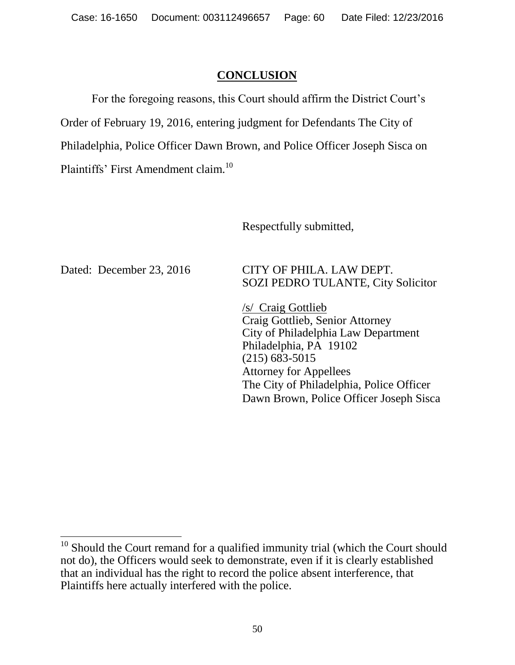# **CONCLUSION**

For the foregoing reasons, this Court should affirm the District Court's Order of February 19, 2016, entering judgment for Defendants The City of Philadelphia, Police Officer Dawn Brown, and Police Officer Joseph Sisca on Plaintiffs' First Amendment claim.<sup>10</sup>

Respectfully submitted,

 $\overline{a}$ 

Dated: December 23, 2016 CITY OF PHILA. LAW DEPT. SOZI PEDRO TULANTE, City Solicitor

> /s/ Craig Gottlieb Craig Gottlieb, Senior Attorney City of Philadelphia Law Department Philadelphia, PA 19102 (215) 683-5015 Attorney for Appellees The City of Philadelphia, Police Officer Dawn Brown, Police Officer Joseph Sisca

 $10$  Should the Court remand for a qualified immunity trial (which the Court should not do), the Officers would seek to demonstrate, even if it is clearly established that an individual has the right to record the police absent interference, that Plaintiffs here actually interfered with the police.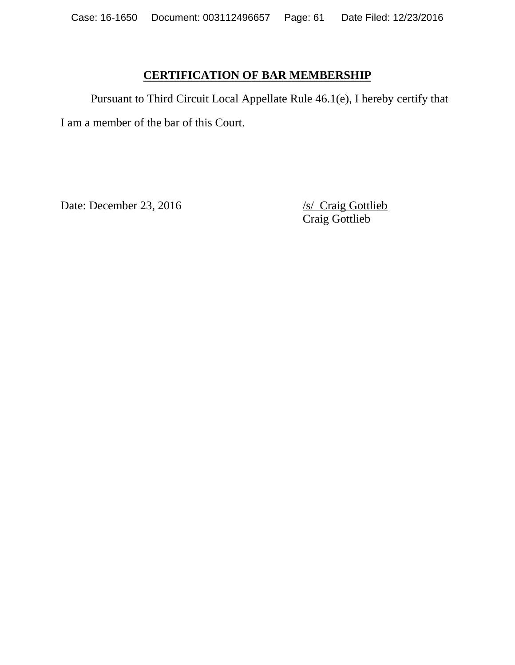# **CERTIFICATION OF BAR MEMBERSHIP**

Pursuant to Third Circuit Local Appellate Rule 46.1(e), I hereby certify that I am a member of the bar of this Court.

Date: December 23, 2016 /s/ Craig Gottlieb

Craig Gottlieb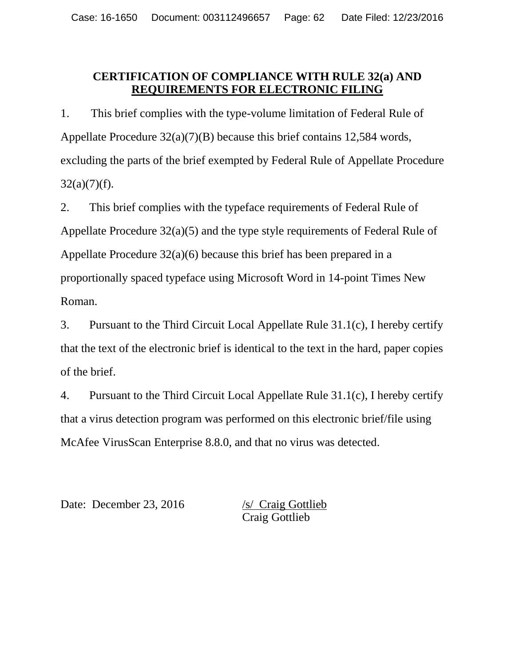# **CERTIFICATION OF COMPLIANCE WITH RULE 32(a) AND REQUIREMENTS FOR ELECTRONIC FILING**

1. This brief complies with the type-volume limitation of Federal Rule of Appellate Procedure 32(a)(7)(B) because this brief contains 12,584 words, excluding the parts of the brief exempted by Federal Rule of Appellate Procedure  $32(a)(7)(f)$ .

2. This brief complies with the typeface requirements of Federal Rule of Appellate Procedure 32(a)(5) and the type style requirements of Federal Rule of Appellate Procedure 32(a)(6) because this brief has been prepared in a proportionally spaced typeface using Microsoft Word in 14-point Times New Roman.

3. Pursuant to the Third Circuit Local Appellate Rule 31.1(c), I hereby certify that the text of the electronic brief is identical to the text in the hard, paper copies of the brief.

4. Pursuant to the Third Circuit Local Appellate Rule 31.1(c), I hereby certify that a virus detection program was performed on this electronic brief/file using McAfee VirusScan Enterprise 8.8.0, and that no virus was detected.

Date: December 23, 2016 /s/ Craig Gottlieb

Craig Gottlieb